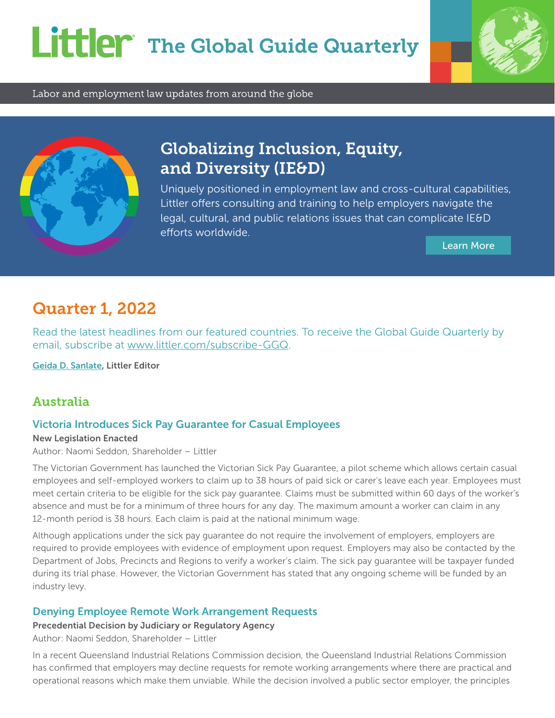# Littler The Global Guide Quarterly



Labor and employment law updates from around the globe



# Globalizing Inclusion, Equity, and Diversity (IE&D)

Uniquely positioned in employment law and cross-cultural capabilities, Littler offers consulting and training to help employers navigate the legal, cultural, and public relations issues that can complicate IE&D efforts worldwide.

[Learn More](https://www.littler.com/practice-areas/inclusion-equity-and-diversity)

# Quarter 1, 2022

Read the latest headlines from our featured countries. To receive the Global Guide Quarterly by email, subscribe at [www.littler.com/subscribe-GGQ](https://engage.littler.com/11/5/forms/global-guide-quarterly.asp).

[Geida D. Sanlate](https://www.littler.com/people/geida-d-sanlate), Littler Editor

## Australia

### Victoria Introduces Sick Pay Guarantee for Casual Employees

New Legislation Enacted

Author: Naomi Seddon, Shareholder – Littler

The Victorian Government has launched the Victorian Sick Pay Guarantee, a pilot scheme which allows certain casual employees and self-employed workers to claim up to 38 hours of paid sick or carer's leave each year. Employees must meet certain criteria to be eligible for the sick pay guarantee. Claims must be submitted within 60 days of the worker's absence and must be for a minimum of three hours for any day. The maximum amount a worker can claim in any 12-month period is 38 hours. Each claim is paid at the national minimum wage.

Although applications under the sick pay guarantee do not require the involvement of employers, employers are required to provide employees with evidence of employment upon request. Employers may also be contacted by the Department of Jobs, Precincts and Regions to verify a worker's claim. The sick pay guarantee will be taxpayer funded during its trial phase. However, the Victorian Government has stated that any ongoing scheme will be funded by an industry levy.

#### Denying Employee Remote Work Arrangement Requests

Precedential Decision by Judiciary or Regulatory Agency

Author: Naomi Seddon, Shareholder – Littler

In a recent Queensland Industrial Relations Commission decision, the Queensland Industrial Relations Commission has confirmed that employers may decline requests for remote working arrangements where there are practical and operational reasons which make them unviable. While the decision involved a public sector employer, the principles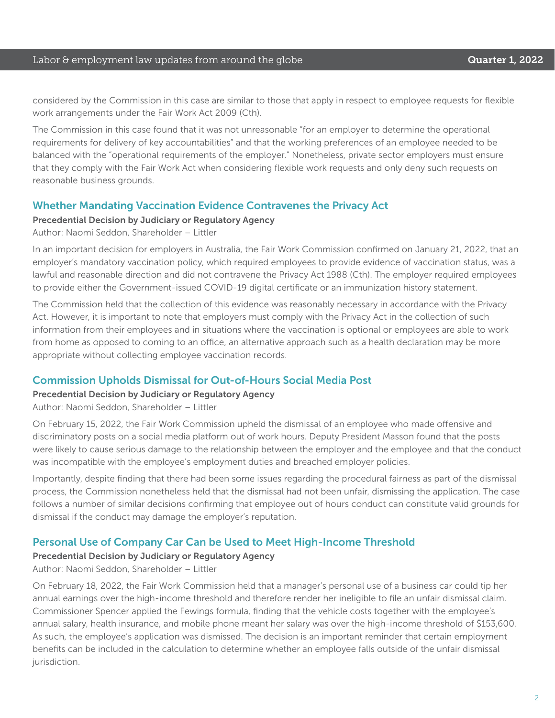#### Labor & employment law updates from around the globe **Cause Communist Constanting Cuarter 1, 2022**

considered by the Commission in this case are similar to those that apply in respect to employee requests for flexible work arrangements under the Fair Work Act 2009 (Cth).

The Commission in this case found that it was not unreasonable "for an employer to determine the operational requirements for delivery of key accountabilities" and that the working preferences of an employee needed to be balanced with the "operational requirements of the employer." Nonetheless, private sector employers must ensure that they comply with the Fair Work Act when considering flexible work requests and only deny such requests on reasonable business grounds.

#### Whether Mandating Vaccination Evidence Contravenes the Privacy Act

#### Precedential Decision by Judiciary or Regulatory Agency

Author: Naomi Seddon, Shareholder – Littler

In an important decision for employers in Australia, the Fair Work Commission confirmed on January 21, 2022, that an employer's mandatory vaccination policy, which required employees to provide evidence of vaccination status, was a lawful and reasonable direction and did not contravene the Privacy Act 1988 (Cth). The employer required employees to provide either the Government-issued COVID-19 digital certificate or an immunization history statement.

The Commission held that the collection of this evidence was reasonably necessary in accordance with the Privacy Act. However, it is important to note that employers must comply with the Privacy Act in the collection of such information from their employees and in situations where the vaccination is optional or employees are able to work from home as opposed to coming to an office, an alternative approach such as a health declaration may be more appropriate without collecting employee vaccination records.

### Commission Upholds Dismissal for Out-of-Hours Social Media Post

#### Precedential Decision by Judiciary or Regulatory Agency

Author: Naomi Seddon, Shareholder – Littler

On February 15, 2022, the Fair Work Commission upheld the dismissal of an employee who made offensive and discriminatory posts on a social media platform out of work hours. Deputy President Masson found that the posts were likely to cause serious damage to the relationship between the employer and the employee and that the conduct was incompatible with the employee's employment duties and breached employer policies.

Importantly, despite finding that there had been some issues regarding the procedural fairness as part of the dismissal process, the Commission nonetheless held that the dismissal had not been unfair, dismissing the application. The case follows a number of similar decisions confirming that employee out of hours conduct can constitute valid grounds for dismissal if the conduct may damage the employer's reputation.

### Personal Use of Company Car Can be Used to Meet High-Income Threshold

#### Precedential Decision by Judiciary or Regulatory Agency

Author: Naomi Seddon, Shareholder – Littler

On February 18, 2022, the Fair Work Commission held that a manager's personal use of a business car could tip her annual earnings over the high-income threshold and therefore render her ineligible to file an unfair dismissal claim. Commissioner Spencer applied the Fewings formula, finding that the vehicle costs together with the employee's annual salary, health insurance, and mobile phone meant her salary was over the high-income threshold of \$153,600. As such, the employee's application was dismissed. The decision is an important reminder that certain employment benefits can be included in the calculation to determine whether an employee falls outside of the unfair dismissal jurisdiction.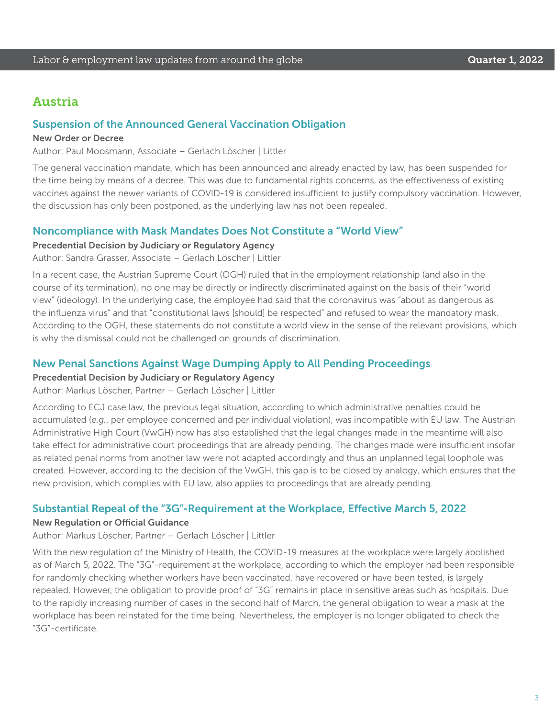### Austria

#### Suspension of the Announced General Vaccination Obligation

#### New Order or Decree

Author: Paul Moosmann, Associate – Gerlach Löscher | Littler

The general vaccination mandate, which has been announced and already enacted by law, has been suspended for the time being by means of a decree. This was due to fundamental rights concerns, as the effectiveness of existing vaccines against the newer variants of COVID-19 is considered insufficient to justify compulsory vaccination. However, the discussion has only been postponed, as the underlying law has not been repealed.

#### Noncompliance with Mask Mandates Does Not Constitute a "World View"

#### Precedential Decision by Judiciary or Regulatory Agency

Author: Sandra Grasser, Associate – Gerlach Löscher | Littler

In a recent case, the Austrian Supreme Court (OGH) ruled that in the employment relationship (and also in the course of its termination), no one may be directly or indirectly discriminated against on the basis of their "world view" (ideology). In the underlying case, the employee had said that the coronavirus was "about as dangerous as the influenza virus" and that "constitutional laws [should] be respected" and refused to wear the mandatory mask. According to the OGH, these statements do not constitute a world view in the sense of the relevant provisions, which is why the dismissal could not be challenged on grounds of discrimination.

#### New Penal Sanctions Against Wage Dumping Apply to All Pending Proceedings

#### Precedential Decision by Judiciary or Regulatory Agency

Author: Markus Löscher, Partner – Gerlach Löscher | Littler

According to ECJ case law, the previous legal situation, according to which administrative penalties could be accumulated (*e.g.*, per employee concerned and per individual violation), was incompatible with EU law. The Austrian Administrative High Court (VwGH) now has also established that the legal changes made in the meantime will also take effect for administrative court proceedings that are already pending. The changes made were insufficient insofar as related penal norms from another law were not adapted accordingly and thus an unplanned legal loophole was created. However, according to the decision of the VwGH, this gap is to be closed by analogy, which ensures that the new provision, which complies with EU law, also applies to proceedings that are already pending.

#### Substantial Repeal of the "3G"-Requirement at the Workplace, Effective March 5, 2022

#### New Regulation or Official Guidance

Author: Markus Löscher, Partner – Gerlach Löscher | Littler

With the new regulation of the Ministry of Health, the COVID-19 measures at the workplace were largely abolished as of March 5, 2022. The "3G"-requirement at the workplace, according to which the employer had been responsible for randomly checking whether workers have been vaccinated, have recovered or have been tested, is largely repealed. However, the obligation to provide proof of "3G" remains in place in sensitive areas such as hospitals. Due to the rapidly increasing number of cases in the second half of March, the general obligation to wear a mask at the workplace has been reinstated for the time being. Nevertheless, the employer is no longer obligated to check the "3G"-certificate.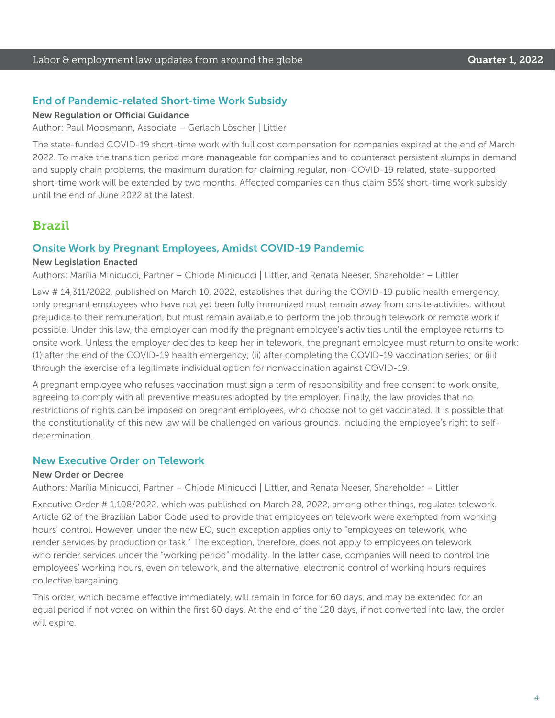#### End of Pandemic-related Short-time Work Subsidy

#### New Regulation or Official Guidance

Author: Paul Moosmann, Associate – Gerlach Löscher | Littler

The state-funded COVID-19 short-time work with full cost compensation for companies expired at the end of March 2022. To make the transition period more manageable for companies and to counteract persistent slumps in demand and supply chain problems, the maximum duration for claiming regular, non-COVID-19 related, state-supported short-time work will be extended by two months. Affected companies can thus claim 85% short-time work subsidy until the end of June 2022 at the latest.

### Brazil

#### Onsite Work by Pregnant Employees, Amidst COVID-19 Pandemic

#### New Legislation Enacted

Authors: Marília Minicucci, Partner – Chiode Minicucci | Littler, and Renata Neeser, Shareholder – Littler

Law # 14,311/2022, published on March 10, 2022, establishes that during the COVID-19 public health emergency, only pregnant employees who have not yet been fully immunized must remain away from onsite activities, without prejudice to their remuneration, but must remain available to perform the job through telework or remote work if possible. Under this law, the employer can modify the pregnant employee's activities until the employee returns to onsite work. Unless the employer decides to keep her in telework, the pregnant employee must return to onsite work: (1) after the end of the COVID-19 health emergency; (ii) after completing the COVID-19 vaccination series; or (iii) through the exercise of a legitimate individual option for nonvaccination against COVID-19.

A pregnant employee who refuses vaccination must sign a term of responsibility and free consent to work onsite, agreeing to comply with all preventive measures adopted by the employer. Finally, the law provides that no restrictions of rights can be imposed on pregnant employees, who choose not to get vaccinated. It is possible that the constitutionality of this new law will be challenged on various grounds, including the employee's right to selfdetermination.

#### New Executive Order on Telework

#### New Order or Decree

Authors: Marília Minicucci, Partner – Chiode Minicucci | Littler, and Renata Neeser, Shareholder – Littler

Executive Order # 1,108/2022, which was published on March 28, 2022, among other things, regulates telework. Article 62 of the Brazilian Labor Code used to provide that employees on telework were exempted from working hours' control. However, under the new EO, such exception applies only to "employees on telework, who render services by production or task." The exception, therefore, does not apply to employees on telework who render services under the "working period" modality. In the latter case, companies will need to control the employees' working hours, even on telework, and the alternative, electronic control of working hours requires collective bargaining.

This order, which became effective immediately, will remain in force for 60 days, and may be extended for an equal period if not voted on within the first 60 days. At the end of the 120 days, if not converted into law, the order will expire.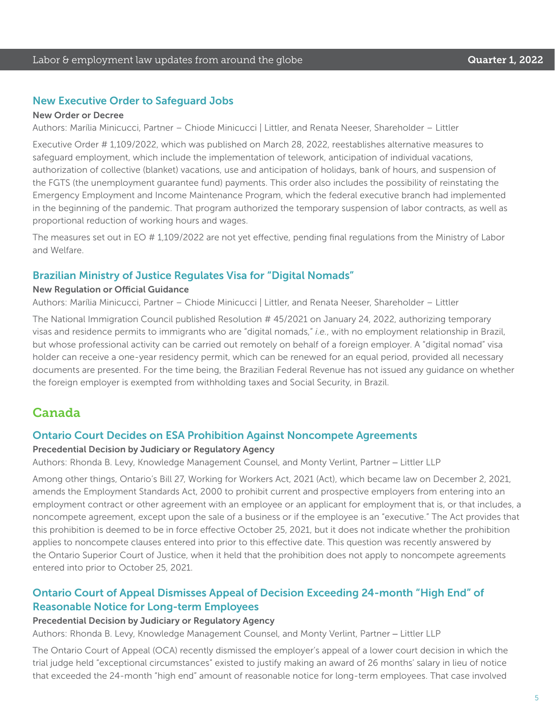#### New Executive Order to Safeguard Jobs

#### New Order or Decree

Authors: Marília Minicucci, Partner – Chiode Minicucci | Littler, and Renata Neeser, Shareholder – Littler

Executive Order # 1,109/2022, which was published on March 28, 2022, reestablishes alternative measures to safeguard employment, which include the implementation of telework, anticipation of individual vacations, authorization of collective (blanket) vacations, use and anticipation of holidays, bank of hours, and suspension of the FGTS (the unemployment guarantee fund) payments. This order also includes the possibility of reinstating the Emergency Employment and Income Maintenance Program, which the federal executive branch had implemented in the beginning of the pandemic. That program authorized the temporary suspension of labor contracts, as well as proportional reduction of working hours and wages.

The measures set out in EO # 1,109/2022 are not yet effective, pending final regulations from the Ministry of Labor and Welfare.

#### Brazilian Ministry of Justice Regulates Visa for "Digital Nomads"

#### New Regulation or Official Guidance

Authors: Marília Minicucci, Partner – Chiode Minicucci | Littler, and Renata Neeser, Shareholder – Littler

The National Immigration Council published Resolution # 45/2021 on January 24, 2022, authorizing temporary visas and residence permits to immigrants who are "digital nomads," *i.e.*, with no employment relationship in Brazil, but whose professional activity can be carried out remotely on behalf of a foreign employer. A "digital nomad" visa holder can receive a one-year residency permit, which can be renewed for an equal period, provided all necessary documents are presented. For the time being, the Brazilian Federal Revenue has not issued any guidance on whether the foreign employer is exempted from withholding taxes and Social Security, in Brazil.

### Canada

#### Ontario Court Decides on ESA Prohibition Against Noncompete Agreements

#### Precedential Decision by Judiciary or Regulatory Agency

Authors: Rhonda B. Levy, Knowledge Management Counsel, and Monty Verlint, Partner – Littler LLP

Among other things, Ontario's Bill 27, Working for Workers Act, 2021 (Act), which became law on December 2, 2021, amends the Employment Standards Act, 2000 to prohibit current and prospective employers from entering into an employment contract or other agreement with an employee or an applicant for employment that is, or that includes, a noncompete agreement, except upon the sale of a business or if the employee is an "executive." The Act provides that this prohibition is deemed to be in force effective October 25, 2021, but it does not indicate whether the prohibition applies to noncompete clauses entered into prior to this effective date. This question was recently answered by the Ontario Superior Court of Justice, when it held that the prohibition does not apply to noncompete agreements entered into prior to October 25, 2021.

### Ontario Court of Appeal Dismisses Appeal of Decision Exceeding 24-month "High End" of Reasonable Notice for Long-term Employees

#### Precedential Decision by Judiciary or Regulatory Agency

Authors: Rhonda B. Levy, Knowledge Management Counsel, and Monty Verlint, Partner – Littler LLP

The Ontario Court of Appeal (OCA) recently dismissed the employer's appeal of a lower court decision in which the trial judge held "exceptional circumstances" existed to justify making an award of 26 months' salary in lieu of notice that exceeded the 24-month "high end" amount of reasonable notice for long-term employees. That case involved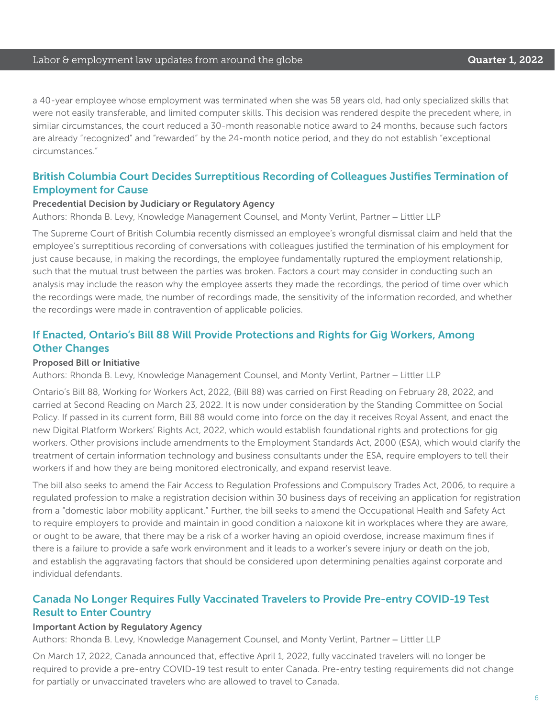a 40-year employee whose employment was terminated when she was 58 years old, had only specialized skills that were not easily transferable, and limited computer skills. This decision was rendered despite the precedent where, in similar circumstances, the court reduced a 30-month reasonable notice award to 24 months, because such factors are already "recognized" and "rewarded" by the 24-month notice period, and they do not establish "exceptional circumstances."

#### British Columbia Court Decides Surreptitious Recording of Colleagues Justifies Termination of Employment for Cause

#### Precedential Decision by Judiciary or Regulatory Agency

Authors: Rhonda B. Levy, Knowledge Management Counsel, and Monty Verlint, Partner – Littler LLP

The Supreme Court of British Columbia recently dismissed an employee's wrongful dismissal claim and held that the employee's surreptitious recording of conversations with colleagues justified the termination of his employment for just cause because, in making the recordings, the employee fundamentally ruptured the employment relationship, such that the mutual trust between the parties was broken. Factors a court may consider in conducting such an analysis may include the reason why the employee asserts they made the recordings, the period of time over which the recordings were made, the number of recordings made, the sensitivity of the information recorded, and whether the recordings were made in contravention of applicable policies.

### If Enacted, Ontario's Bill 88 Will Provide Protections and Rights for Gig Workers, Among Other Changes

#### Proposed Bill or Initiative

Authors: Rhonda B. Levy, Knowledge Management Counsel, and Monty Verlint, Partner – Littler LLP

Ontario's Bill 88, Working for Workers Act, 2022, (Bill 88) was carried on First Reading on February 28, 2022, and carried at Second Reading on March 23, 2022. It is now under consideration by the Standing Committee on Social Policy. If passed in its current form, Bill 88 would come into force on the day it receives Royal Assent, and enact the new Digital Platform Workers' Rights Act, 2022, which would establish foundational rights and protections for gig workers. Other provisions include amendments to the Employment Standards Act, 2000 (ESA), which would clarify the treatment of certain information technology and business consultants under the ESA, require employers to tell their workers if and how they are being monitored electronically, and expand reservist leave.

The bill also seeks to amend the Fair Access to Regulation Professions and Compulsory Trades Act, 2006, to require a regulated profession to make a registration decision within 30 business days of receiving an application for registration from a "domestic labor mobility applicant." Further, the bill seeks to amend the Occupational Health and Safety Act to require employers to provide and maintain in good condition a naloxone kit in workplaces where they are aware, or ought to be aware, that there may be a risk of a worker having an opioid overdose, increase maximum fines if there is a failure to provide a safe work environment and it leads to a worker's severe injury or death on the job, and establish the aggravating factors that should be considered upon determining penalties against corporate and individual defendants.

### Canada No Longer Requires Fully Vaccinated Travelers to Provide Pre-entry COVID-19 Test Result to Enter Country

#### Important Action by Regulatory Agency

Authors: Rhonda B. Levy, Knowledge Management Counsel, and Monty Verlint, Partner – Littler LLP

On March 17, 2022, Canada announced that, effective April 1, 2022, fully vaccinated travelers will no longer be required to provide a pre-entry COVID-19 test result to enter Canada. Pre-entry testing requirements did not change for partially or unvaccinated travelers who are allowed to travel to Canada.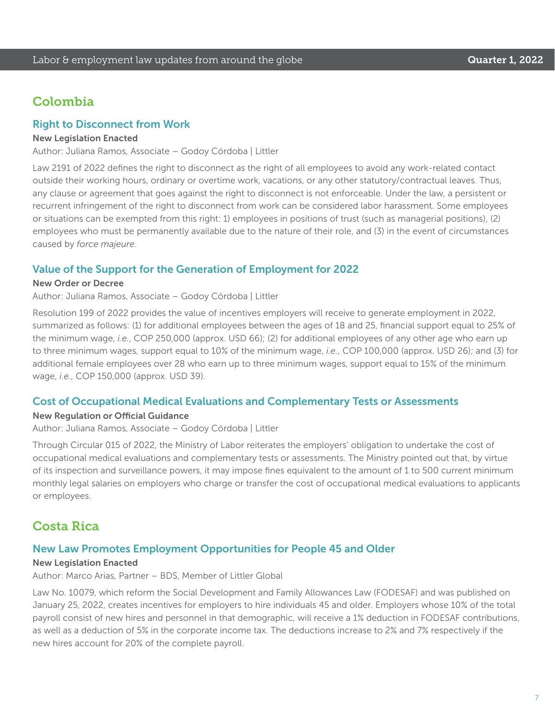### Colombia

#### Right to Disconnect from Work

#### New Legislation Enacted

Author: Juliana Ramos, Associate – Godoy Córdoba | Littler

Law 2191 of 2022 defines the right to disconnect as the right of all employees to avoid any work-related contact outside their working hours, ordinary or overtime work, vacations, or any other statutory/contractual leaves. Thus, any clause or agreement that goes against the right to disconnect is not enforceable. Under the law, a persistent or recurrent infringement of the right to disconnect from work can be considered labor harassment. Some employees or situations can be exempted from this right: 1) employees in positions of trust (such as managerial positions), (2) employees who must be permanently available due to the nature of their role, and (3) in the event of circumstances caused by *force majeure*.

#### Value of the Support for the Generation of Employment for 2022

#### New Order or Decree

Author: Juliana Ramos, Associate – Godoy Córdoba | Littler

Resolution 199 of 2022 provides the value of incentives employers will receive to generate employment in 2022, summarized as follows: (1) for additional employees between the ages of 18 and 25, financial support equal to 25% of the minimum wage, *i.e.*, COP 250,000 (approx. USD 66); (2) for additional employees of any other age who earn up to three minimum wages, support equal to 10% of the minimum wage, *i.e.*, COP 100,000 (approx. USD 26); and (3) for additional female employees over 28 who earn up to three minimum wages, support equal to 15% of the minimum wage, *i.e.*, COP 150,000 (approx. USD 39).

#### Cost of Occupational Medical Evaluations and Complementary Tests or Assessments

#### New Regulation or Official Guidance

Author: Juliana Ramos, Associate – Godoy Córdoba | Littler

Through Circular 015 of 2022, the Ministry of Labor reiterates the employers' obligation to undertake the cost of occupational medical evaluations and complementary tests or assessments. The Ministry pointed out that, by virtue of its inspection and surveillance powers, it may impose fines equivalent to the amount of 1 to 500 current minimum monthly legal salaries on employers who charge or transfer the cost of occupational medical evaluations to applicants or employees.

### Costa Rica

#### New Law Promotes Employment Opportunities for People 45 and Older

#### New Legislation Enacted

Author: Marco Arias, Partner – BDS, Member of Littler Global

Law No. 10079, which reform the Social Development and Family Allowances Law (FODESAF) and was published on January 25, 2022, creates incentives for employers to hire individuals 45 and older. Employers whose 10% of the total payroll consist of new hires and personnel in that demographic, will receive a 1% deduction in FODESAF contributions, as well as a deduction of 5% in the corporate income tax. The deductions increase to 2% and 7% respectively if the new hires account for 20% of the complete payroll.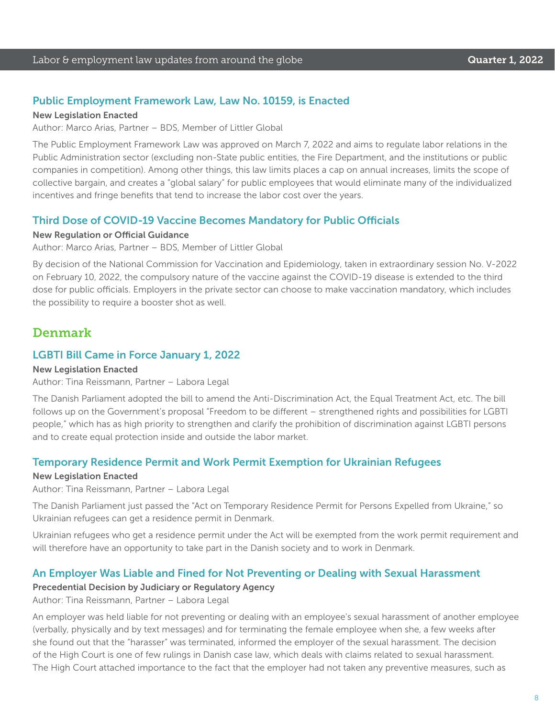#### Public Employment Framework Law, Law No. 10159, is Enacted

#### New Legislation Enacted

Author: Marco Arias, Partner – BDS, Member of Littler Global

The Public Employment Framework Law was approved on March 7, 2022 and aims to regulate labor relations in the Public Administration sector (excluding non-State public entities, the Fire Department, and the institutions or public companies in competition). Among other things, this law limits places a cap on annual increases, limits the scope of collective bargain, and creates a "global salary" for public employees that would eliminate many of the individualized incentives and fringe benefits that tend to increase the labor cost over the years.

#### Third Dose of COVID-19 Vaccine Becomes Mandatory for Public Officials

#### New Regulation or Official Guidance

Author: Marco Arias, Partner – BDS, Member of Littler Global

By decision of the National Commission for Vaccination and Epidemiology, taken in extraordinary session No. V-2022 on February 10, 2022, the compulsory nature of the vaccine against the COVID-19 disease is extended to the third dose for public officials. Employers in the private sector can choose to make vaccination mandatory, which includes the possibility to require a booster shot as well.

### Denmark

#### LGBTI Bill Came in Force January 1, 2022

#### New Legislation Enacted

Author: Tina Reissmann, Partner – Labora Legal

The Danish Parliament adopted the bill to amend the Anti-Discrimination Act, the Equal Treatment Act, etc. The bill follows up on the Government's proposal "Freedom to be different – strengthened rights and possibilities for LGBTI people," which has as high priority to strengthen and clarify the prohibition of discrimination against LGBTI persons and to create equal protection inside and outside the labor market.

#### Temporary Residence Permit and Work Permit Exemption for Ukrainian Refugees

#### New Legislation Enacted

Author: Tina Reissmann, Partner – Labora Legal

The Danish Parliament just passed the "Act on Temporary Residence Permit for Persons Expelled from Ukraine," so Ukrainian refugees can get a residence permit in Denmark.

Ukrainian refugees who get a residence permit under the Act will be exempted from the work permit requirement and will therefore have an opportunity to take part in the Danish society and to work in Denmark.

#### An Employer Was Liable and Fined for Not Preventing or Dealing with Sexual Harassment

#### Precedential Decision by Judiciary or Regulatory Agency

Author: Tina Reissmann, Partner – Labora Legal

An employer was held liable for not preventing or dealing with an employee's sexual harassment of another employee (verbally, physically and by text messages) and for terminating the female employee when she, a few weeks after she found out that the "harasser" was terminated, informed the employer of the sexual harassment. The decision of the High Court is one of few rulings in Danish case law, which deals with claims related to sexual harassment. The High Court attached importance to the fact that the employer had not taken any preventive measures, such as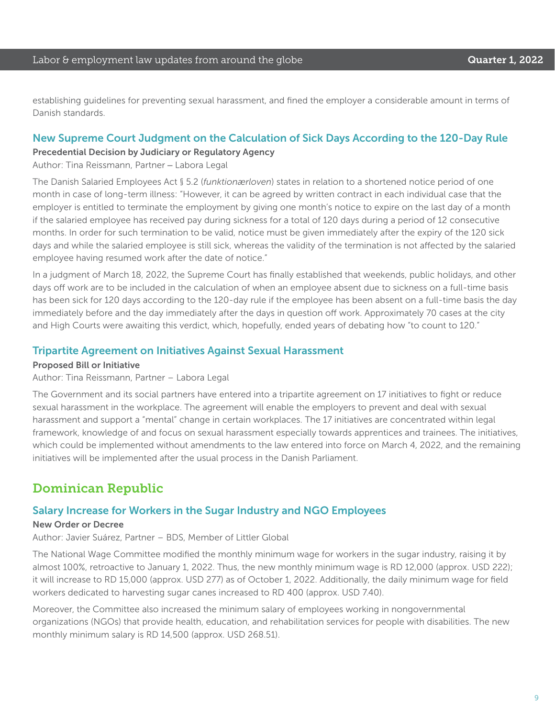establishing guidelines for preventing sexual harassment, and fined the employer a considerable amount in terms of Danish standards.

#### New Supreme Court Judgment on the Calculation of Sick Days According to the 120-Day Rule

#### Precedential Decision by Judiciary or Regulatory Agency

Author: Tina Reissmann, Partner – Labora Legal

The Danish Salaried Employees Act § 5.2 (*funktionærloven*) states in relation to a shortened notice period of one month in case of long-term illness: "However, it can be agreed by written contract in each individual case that the employer is entitled to terminate the employment by giving one month's notice to expire on the last day of a month if the salaried employee has received pay during sickness for a total of 120 days during a period of 12 consecutive months. In order for such termination to be valid, notice must be given immediately after the expiry of the 120 sick days and while the salaried employee is still sick, whereas the validity of the termination is not affected by the salaried employee having resumed work after the date of notice."

In a judgment of March 18, 2022, the Supreme Court has finally established that weekends, public holidays, and other days off work are to be included in the calculation of when an employee absent due to sickness on a full-time basis has been sick for 120 days according to the 120-day rule if the employee has been absent on a full-time basis the day immediately before and the day immediately after the days in question off work. Approximately 70 cases at the city and High Courts were awaiting this verdict, which, hopefully, ended years of debating how "to count to 120."

#### Tripartite Agreement on Initiatives Against Sexual Harassment

#### Proposed Bill or Initiative

Author: Tina Reissmann, Partner – Labora Legal

The Government and its social partners have entered into a tripartite agreement on 17 initiatives to fight or reduce sexual harassment in the workplace. The agreement will enable the employers to prevent and deal with sexual harassment and support a "mental" change in certain workplaces. The 17 initiatives are concentrated within legal framework, knowledge of and focus on sexual harassment especially towards apprentices and trainees. The initiatives, which could be implemented without amendments to the law entered into force on March 4, 2022, and the remaining initiatives will be implemented after the usual process in the Danish Parliament.

### Dominican Republic

#### Salary Increase for Workers in the Sugar Industry and NGO Employees

#### New Order or Decree

Author: Javier Suárez, Partner – BDS, Member of Littler Global

The National Wage Committee modified the monthly minimum wage for workers in the sugar industry, raising it by almost 100%, retroactive to January 1, 2022. Thus, the new monthly minimum wage is RD 12,000 (approx. USD 222); it will increase to RD 15,000 (approx. USD 277) as of October 1, 2022. Additionally, the daily minimum wage for field workers dedicated to harvesting sugar canes increased to RD 400 (approx. USD 7.40).

Moreover, the Committee also increased the minimum salary of employees working in nongovernmental organizations (NGOs) that provide health, education, and rehabilitation services for people with disabilities. The new monthly minimum salary is RD 14,500 (approx. USD 268.51).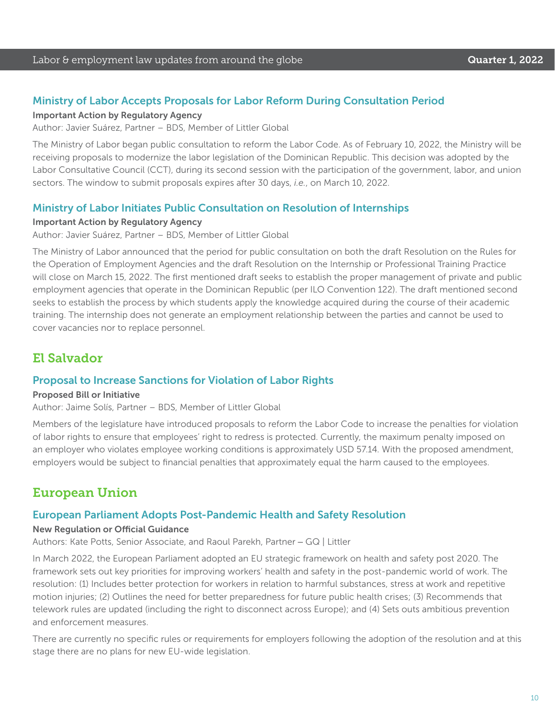#### Ministry of Labor Accepts Proposals for Labor Reform During Consultation Period

#### Important Action by Regulatory Agency

Author: Javier Suárez, Partner – BDS, Member of Littler Global

The Ministry of Labor began public consultation to reform the Labor Code. As of February 10, 2022, the Ministry will be receiving proposals to modernize the labor legislation of the Dominican Republic. This decision was adopted by the Labor Consultative Council (CCT), during its second session with the participation of the government, labor, and union sectors. The window to submit proposals expires after 30 days, *i.e.*, on March 10, 2022.

#### Ministry of Labor Initiates Public Consultation on Resolution of Internships

#### Important Action by Regulatory Agency

Author: Javier Suárez, Partner – BDS, Member of Littler Global

The Ministry of Labor announced that the period for public consultation on both the draft Resolution on the Rules for the Operation of Employment Agencies and the draft Resolution on the Internship or Professional Training Practice will close on March 15, 2022. The first mentioned draft seeks to establish the proper management of private and public employment agencies that operate in the Dominican Republic (per ILO Convention 122). The draft mentioned second seeks to establish the process by which students apply the knowledge acquired during the course of their academic training. The internship does not generate an employment relationship between the parties and cannot be used to cover vacancies nor to replace personnel.

### El Salvador

#### Proposal to Increase Sanctions for Violation of Labor Rights

#### Proposed Bill or Initiative

Author: Jaime Solís, Partner – BDS, Member of Littler Global

Members of the legislature have introduced proposals to reform the Labor Code to increase the penalties for violation of labor rights to ensure that employees' right to redress is protected. Currently, the maximum penalty imposed on an employer who violates employee working conditions is approximately USD 57.14. With the proposed amendment, employers would be subject to financial penalties that approximately equal the harm caused to the employees.

### European Union

#### European Parliament Adopts Post-Pandemic Health and Safety Resolution

#### New Regulation or Official Guidance

Authors: Kate Potts, Senior Associate, and Raoul Parekh, Partner – GQ | Littler

In March 2022, the European Parliament adopted an EU strategic framework on health and safety post 2020. The framework sets out key priorities for improving workers' health and safety in the post-pandemic world of work. The resolution: (1) Includes better protection for workers in relation to harmful substances, stress at work and repetitive motion injuries; (2) Outlines the need for better preparedness for future public health crises; (3) Recommends that telework rules are updated (including the right to disconnect across Europe); and (4) Sets outs ambitious prevention and enforcement measures.

There are currently no specific rules or requirements for employers following the adoption of the resolution and at this stage there are no plans for new EU-wide legislation.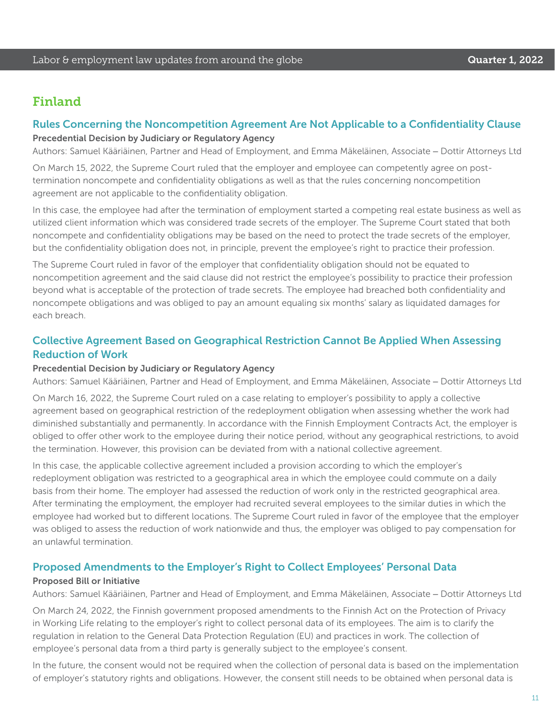### Finland

#### Rules Concerning the Noncompetition Agreement Are Not Applicable to a Confidentiality Clause

#### Precedential Decision by Judiciary or Regulatory Agency

Authors: Samuel Kääriäinen, Partner and Head of Employment, and Emma Mäkeläinen, Associate – Dottir Attorneys Ltd

On March 15, 2022, the Supreme Court ruled that the employer and employee can competently agree on posttermination noncompete and confidentiality obligations as well as that the rules concerning noncompetition agreement are not applicable to the confidentiality obligation.

In this case, the employee had after the termination of employment started a competing real estate business as well as utilized client information which was considered trade secrets of the employer. The Supreme Court stated that both noncompete and confidentiality obligations may be based on the need to protect the trade secrets of the employer, but the confidentiality obligation does not, in principle, prevent the employee's right to practice their profession.

The Supreme Court ruled in favor of the employer that confidentiality obligation should not be equated to noncompetition agreement and the said clause did not restrict the employee's possibility to practice their profession beyond what is acceptable of the protection of trade secrets. The employee had breached both confidentiality and noncompete obligations and was obliged to pay an amount equaling six months' salary as liquidated damages for each breach.

### Collective Agreement Based on Geographical Restriction Cannot Be Applied When Assessing Reduction of Work

#### Precedential Decision by Judiciary or Regulatory Agency

Authors: Samuel Kääriäinen, Partner and Head of Employment, and Emma Mäkeläinen, Associate – Dottir Attorneys Ltd

On March 16, 2022, the Supreme Court ruled on a case relating to employer's possibility to apply a collective agreement based on geographical restriction of the redeployment obligation when assessing whether the work had diminished substantially and permanently. In accordance with the Finnish Employment Contracts Act, the employer is obliged to offer other work to the employee during their notice period, without any geographical restrictions, to avoid the termination. However, this provision can be deviated from with a national collective agreement.

In this case, the applicable collective agreement included a provision according to which the employer's redeployment obligation was restricted to a geographical area in which the employee could commute on a daily basis from their home. The employer had assessed the reduction of work only in the restricted geographical area. After terminating the employment, the employer had recruited several employees to the similar duties in which the employee had worked but to different locations. The Supreme Court ruled in favor of the employee that the employer was obliged to assess the reduction of work nationwide and thus, the employer was obliged to pay compensation for an unlawful termination.

#### Proposed Amendments to the Employer's Right to Collect Employees' Personal Data

#### Proposed Bill or Initiative

Authors: Samuel Kääriäinen, Partner and Head of Employment, and Emma Mäkeläinen, Associate – Dottir Attorneys Ltd

On March 24, 2022, the Finnish government proposed amendments to the Finnish Act on the Protection of Privacy in Working Life relating to the employer's right to collect personal data of its employees. The aim is to clarify the regulation in relation to the General Data Protection Regulation (EU) and practices in work. The collection of employee's personal data from a third party is generally subject to the employee's consent.

In the future, the consent would not be required when the collection of personal data is based on the implementation of employer's statutory rights and obligations. However, the consent still needs to be obtained when personal data is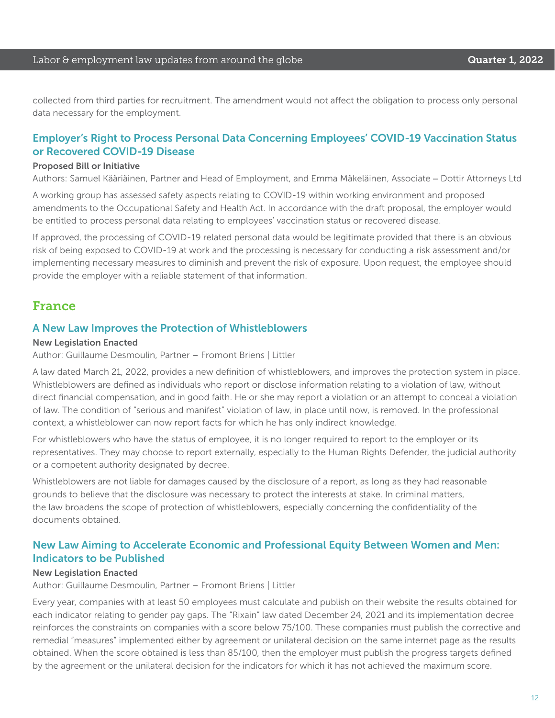collected from third parties for recruitment. The amendment would not affect the obligation to process only personal data necessary for the employment.

#### Employer's Right to Process Personal Data Concerning Employees' COVID-19 Vaccination Status or Recovered COVID-19 Disease

#### Proposed Bill or Initiative

Authors: Samuel Kääriäinen, Partner and Head of Employment, and Emma Mäkeläinen, Associate – Dottir Attorneys Ltd

A working group has assessed safety aspects relating to COVID-19 within working environment and proposed amendments to the Occupational Safety and Health Act. In accordance with the draft proposal, the employer would be entitled to process personal data relating to employees' vaccination status or recovered disease.

If approved, the processing of COVID-19 related personal data would be legitimate provided that there is an obvious risk of being exposed to COVID-19 at work and the processing is necessary for conducting a risk assessment and/or implementing necessary measures to diminish and prevent the risk of exposure. Upon request, the employee should provide the employer with a reliable statement of that information.

### France

#### A New Law Improves the Protection of Whistleblowers

#### New Legislation Enacted

Author: Guillaume Desmoulin, Partner – Fromont Briens | Littler

A law dated March 21, 2022, provides a new definition of whistleblowers, and improves the protection system in place. Whistleblowers are defined as individuals who report or disclose information relating to a violation of law, without direct financial compensation, and in good faith. He or she may report a violation or an attempt to conceal a violation of law. The condition of "serious and manifest" violation of law, in place until now, is removed. In the professional context, a whistleblower can now report facts for which he has only indirect knowledge.

For whistleblowers who have the status of employee, it is no longer required to report to the employer or its representatives. They may choose to report externally, especially to the Human Rights Defender, the judicial authority or a competent authority designated by decree.

Whistleblowers are not liable for damages caused by the disclosure of a report, as long as they had reasonable grounds to believe that the disclosure was necessary to protect the interests at stake. In criminal matters, the law broadens the scope of protection of whistleblowers, especially concerning the confidentiality of the documents obtained.

#### New Law Aiming to Accelerate Economic and Professional Equity Between Women and Men: Indicators to be Published

#### New Legislation Enacted

Author: Guillaume Desmoulin, Partner – Fromont Briens | Littler

Every year, companies with at least 50 employees must calculate and publish on their website the results obtained for each indicator relating to gender pay gaps. The "Rixain" law dated December 24, 2021 and its implementation decree reinforces the constraints on companies with a score below 75/100. These companies must publish the corrective and remedial "measures" implemented either by agreement or unilateral decision on the same internet page as the results obtained. When the score obtained is less than 85/100, then the employer must publish the progress targets defined by the agreement or the unilateral decision for the indicators for which it has not achieved the maximum score.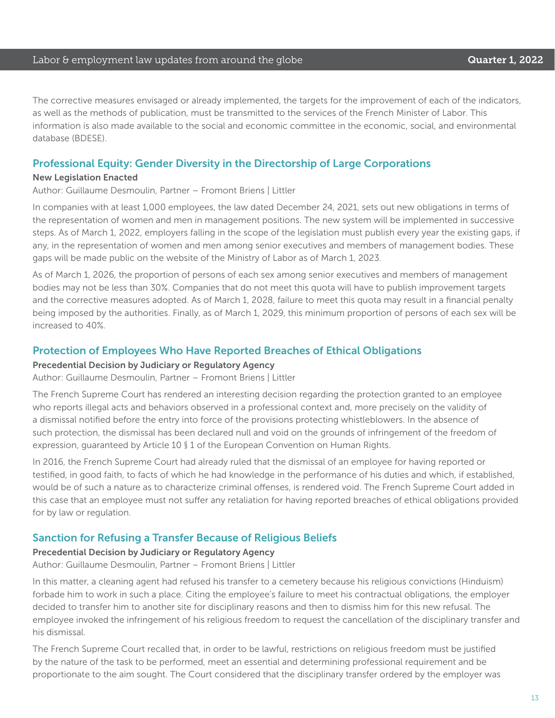#### Labor & employment law updates from around the globe **Cause Communist Constanting Cuarter 1, 2022**

The corrective measures envisaged or already implemented, the targets for the improvement of each of the indicators, as well as the methods of publication, must be transmitted to the services of the French Minister of Labor. This information is also made available to the social and economic committee in the economic, social, and environmental database (BDESE).

#### Professional Equity: Gender Diversity in the Directorship of Large Corporations

#### New Legislation Enacted

Author: Guillaume Desmoulin, Partner – Fromont Briens | Littler

In companies with at least 1,000 employees, the law dated December 24, 2021, sets out new obligations in terms of the representation of women and men in management positions. The new system will be implemented in successive steps. As of March 1, 2022, employers falling in the scope of the legislation must publish every year the existing gaps, if any, in the representation of women and men among senior executives and members of management bodies. These gaps will be made public on the website of the Ministry of Labor as of March 1, 2023.

As of March 1, 2026, the proportion of persons of each sex among senior executives and members of management bodies may not be less than 30%. Companies that do not meet this quota will have to publish improvement targets and the corrective measures adopted. As of March 1, 2028, failure to meet this quota may result in a financial penalty being imposed by the authorities. Finally, as of March 1, 2029, this minimum proportion of persons of each sex will be increased to 40%.

#### Protection of Employees Who Have Reported Breaches of Ethical Obligations

#### Precedential Decision by Judiciary or Regulatory Agency

Author: Guillaume Desmoulin, Partner – Fromont Briens | Littler

The French Supreme Court has rendered an interesting decision regarding the protection granted to an employee who reports illegal acts and behaviors observed in a professional context and, more precisely on the validity of a dismissal notified before the entry into force of the provisions protecting whistleblowers. In the absence of such protection, the dismissal has been declared null and void on the grounds of infringement of the freedom of expression, guaranteed by Article 10 § 1 of the European Convention on Human Rights.

In 2016, the French Supreme Court had already ruled that the dismissal of an employee for having reported or testified, in good faith, to facts of which he had knowledge in the performance of his duties and which, if established, would be of such a nature as to characterize criminal offenses, is rendered void. The French Supreme Court added in this case that an employee must not suffer any retaliation for having reported breaches of ethical obligations provided for by law or regulation.

#### Sanction for Refusing a Transfer Because of Religious Beliefs

#### Precedential Decision by Judiciary or Regulatory Agency

Author: Guillaume Desmoulin, Partner – Fromont Briens | Littler

In this matter, a cleaning agent had refused his transfer to a cemetery because his religious convictions (Hinduism) forbade him to work in such a place. Citing the employee's failure to meet his contractual obligations, the employer decided to transfer him to another site for disciplinary reasons and then to dismiss him for this new refusal. The employee invoked the infringement of his religious freedom to request the cancellation of the disciplinary transfer and his dismissal.

The French Supreme Court recalled that, in order to be lawful, restrictions on religious freedom must be justified by the nature of the task to be performed, meet an essential and determining professional requirement and be proportionate to the aim sought. The Court considered that the disciplinary transfer ordered by the employer was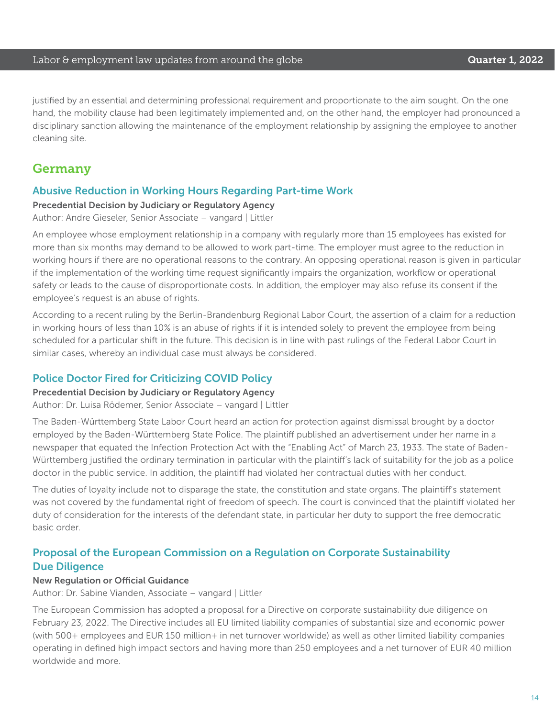justified by an essential and determining professional requirement and proportionate to the aim sought. On the one hand, the mobility clause had been legitimately implemented and, on the other hand, the employer had pronounced a disciplinary sanction allowing the maintenance of the employment relationship by assigning the employee to another cleaning site.

### Germany

#### Abusive Reduction in Working Hours Regarding Part-time Work

#### Precedential Decision by Judiciary or Regulatory Agency

#### Author: Andre Gieseler, Senior Associate – vangard | Littler

An employee whose employment relationship in a company with regularly more than 15 employees has existed for more than six months may demand to be allowed to work part-time. The employer must agree to the reduction in working hours if there are no operational reasons to the contrary. An opposing operational reason is given in particular if the implementation of the working time request significantly impairs the organization, workflow or operational safety or leads to the cause of disproportionate costs. In addition, the employer may also refuse its consent if the employee's request is an abuse of rights.

According to a recent ruling by the Berlin-Brandenburg Regional Labor Court, the assertion of a claim for a reduction in working hours of less than 10% is an abuse of rights if it is intended solely to prevent the employee from being scheduled for a particular shift in the future. This decision is in line with past rulings of the Federal Labor Court in similar cases, whereby an individual case must always be considered.

#### Police Doctor Fired for Criticizing COVID Policy

#### Precedential Decision by Judiciary or Regulatory Agency

Author: Dr. Luisa Rödemer, Senior Associate – vangard | Littler

The Baden-Württemberg State Labor Court heard an action for protection against dismissal brought by a doctor employed by the Baden-Württemberg State Police. The plaintiff published an advertisement under her name in a newspaper that equated the Infection Protection Act with the "Enabling Act" of March 23, 1933. The state of Baden-Württemberg justified the ordinary termination in particular with the plaintiff's lack of suitability for the job as a police doctor in the public service. In addition, the plaintiff had violated her contractual duties with her conduct.

The duties of loyalty include not to disparage the state, the constitution and state organs. The plaintiff's statement was not covered by the fundamental right of freedom of speech. The court is convinced that the plaintiff violated her duty of consideration for the interests of the defendant state, in particular her duty to support the free democratic basic order.

### Proposal of the European Commission on a Regulation on Corporate Sustainability Due Diligence

#### New Regulation or Official Guidance

Author: Dr. Sabine Vianden, Associate – vangard | Littler

The European Commission has adopted a proposal for a Directive on corporate sustainability due diligence on February 23, 2022. The Directive includes all EU limited liability companies of substantial size and economic power (with 500+ employees and EUR 150 million+ in net turnover worldwide) as well as other limited liability companies operating in defined high impact sectors and having more than 250 employees and a net turnover of EUR 40 million worldwide and more.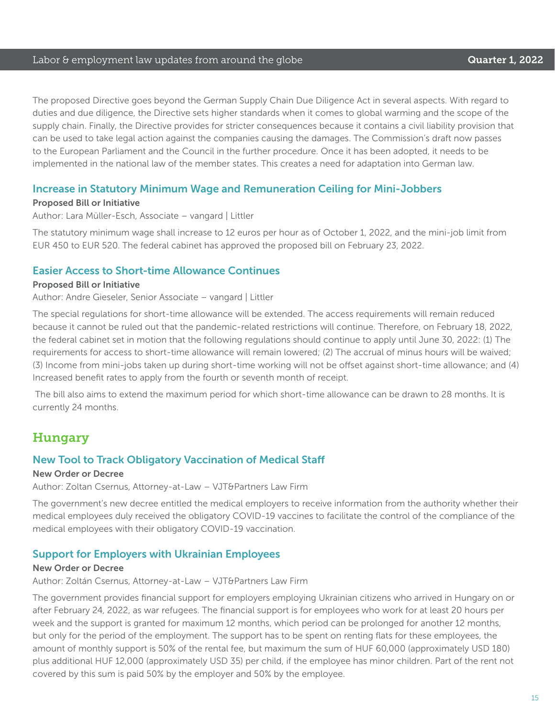#### Labor & employment law updates from around the globe **Cause Communist Constanting Cuarter 1, 2022**

The proposed Directive goes beyond the German Supply Chain Due Diligence Act in several aspects. With regard to duties and due diligence, the Directive sets higher standards when it comes to global warming and the scope of the supply chain. Finally, the Directive provides for stricter consequences because it contains a civil liability provision that can be used to take legal action against the companies causing the damages. The Commission's draft now passes to the European Parliament and the Council in the further procedure. Once it has been adopted, it needs to be implemented in the national law of the member states. This creates a need for adaptation into German law.

#### Increase in Statutory Minimum Wage and Remuneration Ceiling for Mini-Jobbers

#### Proposed Bill or Initiative

Author: Lara Müller-Esch, Associate – vangard | Littler

The statutory minimum wage shall increase to 12 euros per hour as of October 1, 2022, and the mini-job limit from EUR 450 to EUR 520. The federal cabinet has approved the proposed bill on February 23, 2022.

#### Easier Access to Short-time Allowance Continues

#### Proposed Bill or Initiative

Author: Andre Gieseler, Senior Associate – vangard | Littler

The special regulations for short-time allowance will be extended. The access requirements will remain reduced because it cannot be ruled out that the pandemic-related restrictions will continue. Therefore, on February 18, 2022, the federal cabinet set in motion that the following regulations should continue to apply until June 30, 2022: (1) The requirements for access to short-time allowance will remain lowered; (2) The accrual of minus hours will be waived; (3) Income from mini-jobs taken up during short-time working will not be offset against short-time allowance; and (4) Increased benefit rates to apply from the fourth or seventh month of receipt.

 The bill also aims to extend the maximum period for which short-time allowance can be drawn to 28 months. It is currently 24 months.

### Hungary

### New Tool to Track Obligatory Vaccination of Medical Staff

#### New Order or Decree

Author: Zoltan Csernus, Attorney-at-Law – VJT&Partners Law Firm

The government's new decree entitled the medical employers to receive information from the authority whether their medical employees duly received the obligatory COVID-19 vaccines to facilitate the control of the compliance of the medical employees with their obligatory COVID-19 vaccination.

#### Support for Employers with Ukrainian Employees

#### New Order or Decree

Author: Zoltán Csernus, Attorney-at-Law – VJT&Partners Law Firm

The government provides financial support for employers employing Ukrainian citizens who arrived in Hungary on or after February 24, 2022, as war refugees. The financial support is for employees who work for at least 20 hours per week and the support is granted for maximum 12 months, which period can be prolonged for another 12 months, but only for the period of the employment. The support has to be spent on renting flats for these employees, the amount of monthly support is 50% of the rental fee, but maximum the sum of HUF 60,000 (approximately USD 180) plus additional HUF 12,000 (approximately USD 35) per child, if the employee has minor children. Part of the rent not covered by this sum is paid 50% by the employer and 50% by the employee.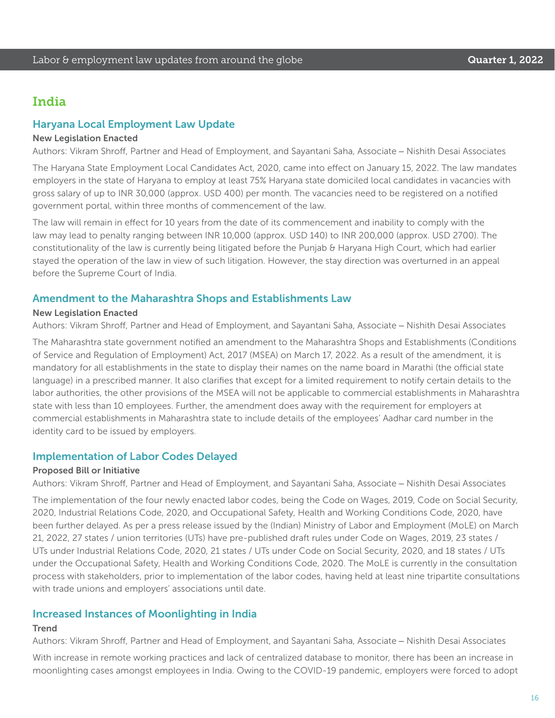### India

#### Haryana Local Employment Law Update

#### New Legislation Enacted

Authors: Vikram Shroff, Partner and Head of Employment, and Sayantani Saha, Associate – Nishith Desai Associates

The Haryana State Employment Local Candidates Act, 2020, came into effect on January 15, 2022. The law mandates employers in the state of Haryana to employ at least 75% Haryana state domiciled local candidates in vacancies with gross salary of up to INR 30,000 (approx. USD 400) per month. The vacancies need to be registered on a notified government portal, within three months of commencement of the law.

The law will remain in effect for 10 years from the date of its commencement and inability to comply with the law may lead to penalty ranging between INR 10,000 (approx. USD 140) to INR 200,000 (approx. USD 2700). The constitutionality of the law is currently being litigated before the Punjab & Haryana High Court, which had earlier stayed the operation of the law in view of such litigation. However, the stay direction was overturned in an appeal before the Supreme Court of India.

#### Amendment to the Maharashtra Shops and Establishments Law

#### New Legislation Enacted

Authors: Vikram Shroff, Partner and Head of Employment, and Sayantani Saha, Associate – Nishith Desai Associates

The Maharashtra state government notified an amendment to the Maharashtra Shops and Establishments (Conditions of Service and Regulation of Employment) Act, 2017 (MSEA) on March 17, 2022. As a result of the amendment, it is mandatory for all establishments in the state to display their names on the name board in Marathi (the official state language) in a prescribed manner. It also clarifies that except for a limited requirement to notify certain details to the labor authorities, the other provisions of the MSEA will not be applicable to commercial establishments in Maharashtra state with less than 10 employees. Further, the amendment does away with the requirement for employers at commercial establishments in Maharashtra state to include details of the employees' Aadhar card number in the identity card to be issued by employers.

#### Implementation of Labor Codes Delayed

#### Proposed Bill or Initiative

Authors: Vikram Shroff, Partner and Head of Employment, and Sayantani Saha, Associate – Nishith Desai Associates

The implementation of the four newly enacted labor codes, being the Code on Wages, 2019, Code on Social Security, 2020, Industrial Relations Code, 2020, and Occupational Safety, Health and Working Conditions Code, 2020, have been further delayed. As per a press release issued by the (Indian) Ministry of Labor and Employment (MoLE) on March 21, 2022, 27 states / union territories (UTs) have pre-published draft rules under Code on Wages, 2019, 23 states / UTs under Industrial Relations Code, 2020, 21 states / UTs under Code on Social Security, 2020, and 18 states / UTs under the Occupational Safety, Health and Working Conditions Code, 2020. The MoLE is currently in the consultation process with stakeholders, prior to implementation of the labor codes, having held at least nine tripartite consultations with trade unions and employers' associations until date.

#### Increased Instances of Moonlighting in India

#### **Trend**

Authors: Vikram Shroff, Partner and Head of Employment, and Sayantani Saha, Associate – Nishith Desai Associates

With increase in remote working practices and lack of centralized database to monitor, there has been an increase in moonlighting cases amongst employees in India. Owing to the COVID-19 pandemic, employers were forced to adopt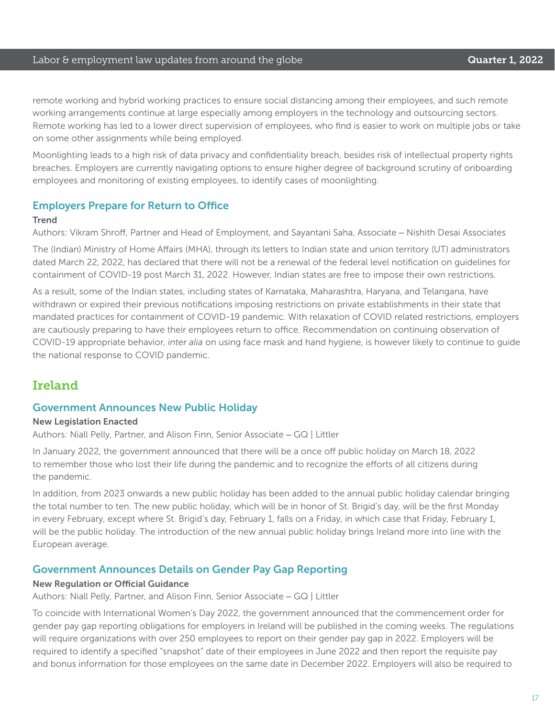#### Labor & employment law updates from around the globe **Cause Countries Countries 1, 2022**

remote working and hybrid working practices to ensure social distancing among their employees, and such remote working arrangements continue at large especially among employers in the technology and outsourcing sectors. Remote working has led to a lower direct supervision of employees, who find is easier to work on multiple jobs or take on some other assignments while being employed.

Moonlighting leads to a high risk of data privacy and confidentiality breach, besides risk of intellectual property rights breaches. Employers are currently navigating options to ensure higher degree of background scrutiny of onboarding employees and monitoring of existing employees, to identify cases of moonlighting.

#### Employers Prepare for Return to Office

#### **Trend**

Authors: Vikram Shroff, Partner and Head of Employment, and Sayantani Saha, Associate – Nishith Desai Associates

The (Indian) Ministry of Home Affairs (MHA), through its letters to Indian state and union territory (UT) administrators dated March 22, 2022, has declared that there will not be a renewal of the federal level notification on guidelines for containment of COVID-19 post March 31, 2022. However, Indian states are free to impose their own restrictions.

As a result, some of the Indian states, including states of Karnataka, Maharashtra, Haryana, and Telangana, have withdrawn or expired their previous notifications imposing restrictions on private establishments in their state that mandated practices for containment of COVID-19 pandemic. With relaxation of COVID related restrictions, employers are cautiously preparing to have their employees return to office. Recommendation on continuing observation of COVID-19 appropriate behavior, *inter alia* on using face mask and hand hygiene, is however likely to continue to guide the national response to COVID pandemic.

## Ireland

#### Government Announces New Public Holiday

#### New Legislation Enacted

Authors: Niall Pelly, Partner, and Alison Finn, Senior Associate – GQ | Littler

In January 2022, the government announced that there will be a once off public holiday on March 18, 2022 to remember those who lost their life during the pandemic and to recognize the efforts of all citizens during the pandemic.

In addition, from 2023 onwards a new public holiday has been added to the annual public holiday calendar bringing the total number to ten. The new public holiday, which will be in honor of St. Brigid's day, will be the first Monday in every February, except where St. Brigid's day, February 1, falls on a Friday, in which case that Friday, February 1, will be the public holiday. The introduction of the new annual public holiday brings Ireland more into line with the European average.

#### Government Announces Details on Gender Pay Gap Reporting

#### New Regulation or Official Guidance

Authors: Niall Pelly, Partner, and Alison Finn, Senior Associate – GQ | Littler

To coincide with International Women's Day 2022, the government announced that the commencement order for gender pay gap reporting obligations for employers in Ireland will be published in the coming weeks. The regulations will require organizations with over 250 employees to report on their gender pay gap in 2022. Employers will be required to identify a specified "snapshot" date of their employees in June 2022 and then report the requisite pay and bonus information for those employees on the same date in December 2022. Employers will also be required to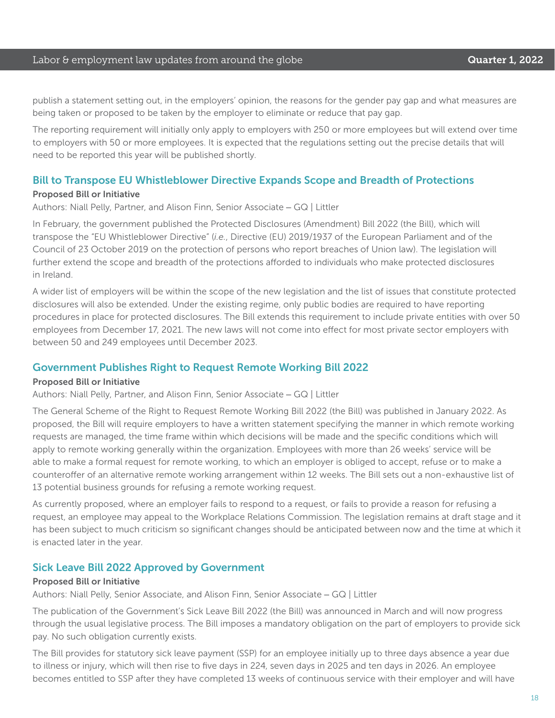#### Labor & employment law updates from around the globe **Cause Communist Constanting Cuarter 1, 2022**

publish a statement setting out, in the employers' opinion, the reasons for the gender pay gap and what measures are being taken or proposed to be taken by the employer to eliminate or reduce that pay gap.

The reporting requirement will initially only apply to employers with 250 or more employees but will extend over time to employers with 50 or more employees. It is expected that the regulations setting out the precise details that will need to be reported this year will be published shortly.

#### Bill to Transpose EU Whistleblower Directive Expands Scope and Breadth of Protections

#### Proposed Bill or Initiative

Authors: Niall Pelly, Partner, and Alison Finn, Senior Associate – GQ | Littler

In February, the government published the Protected Disclosures (Amendment) Bill 2022 (the Bill), which will transpose the "EU Whistleblower Directive" (*i.e.*, Directive (EU) 2019/1937 of the European Parliament and of the Council of 23 October 2019 on the protection of persons who report breaches of Union law). The legislation will further extend the scope and breadth of the protections afforded to individuals who make protected disclosures in Ireland.

A wider list of employers will be within the scope of the new legislation and the list of issues that constitute protected disclosures will also be extended. Under the existing regime, only public bodies are required to have reporting procedures in place for protected disclosures. The Bill extends this requirement to include private entities with over 50 employees from December 17, 2021. The new laws will not come into effect for most private sector employers with between 50 and 249 employees until December 2023.

#### Government Publishes Right to Request Remote Working Bill 2022

#### Proposed Bill or Initiative

Authors: Niall Pelly, Partner, and Alison Finn, Senior Associate – GQ | Littler

The General Scheme of the Right to Request Remote Working Bill 2022 (the Bill) was published in January 2022. As proposed, the Bill will require employers to have a written statement specifying the manner in which remote working requests are managed, the time frame within which decisions will be made and the specific conditions which will apply to remote working generally within the organization. Employees with more than 26 weeks' service will be able to make a formal request for remote working, to which an employer is obliged to accept, refuse or to make a counteroffer of an alternative remote working arrangement within 12 weeks. The Bill sets out a non-exhaustive list of 13 potential business grounds for refusing a remote working request.

As currently proposed, where an employer fails to respond to a request, or fails to provide a reason for refusing a request, an employee may appeal to the Workplace Relations Commission. The legislation remains at draft stage and it has been subject to much criticism so significant changes should be anticipated between now and the time at which it is enacted later in the year.

#### Sick Leave Bill 2022 Approved by Government

#### Proposed Bill or Initiative

Authors: Niall Pelly, Senior Associate, and Alison Finn, Senior Associate – GQ | Littler

The publication of the Government's Sick Leave Bill 2022 (the Bill) was announced in March and will now progress through the usual legislative process. The Bill imposes a mandatory obligation on the part of employers to provide sick pay. No such obligation currently exists.

The Bill provides for statutory sick leave payment (SSP) for an employee initially up to three days absence a year due to illness or injury, which will then rise to five days in 224, seven days in 2025 and ten days in 2026. An employee becomes entitled to SSP after they have completed 13 weeks of continuous service with their employer and will have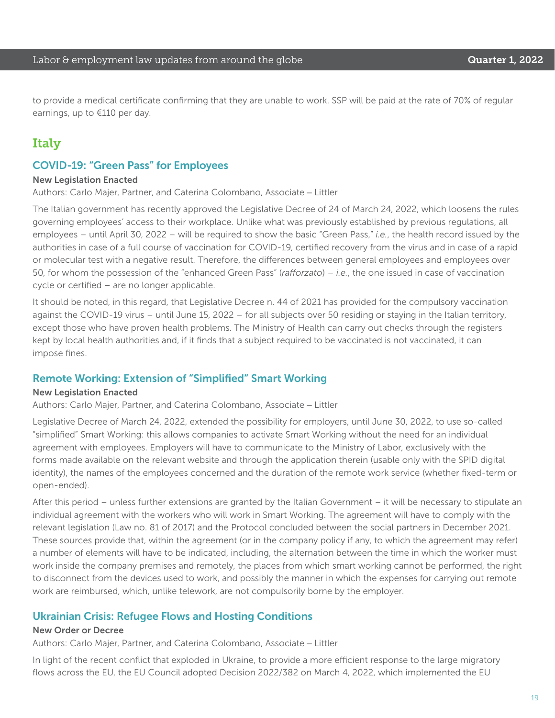to provide a medical certificate confirming that they are unable to work. SSP will be paid at the rate of 70% of regular earnings, up to €110 per day.

### Italy

### COVID-19: "Green Pass" for Employees

#### New Legislation Enacted

Authors: Carlo Majer, Partner, and Caterina Colombano, Associate – Littler

The Italian government has recently approved the Legislative Decree of 24 of March 24, 2022, which loosens the rules governing employees' access to their workplace. Unlike what was previously established by previous regulations, all employees – until April 30, 2022 – will be required to show the basic "Green Pass," *i.e.*, the health record issued by the authorities in case of a full course of vaccination for COVID-19, certified recovery from the virus and in case of a rapid or molecular test with a negative result. Therefore, the differences between general employees and employees over 50, for whom the possession of the "enhanced Green Pass" (*rafforzato*) – *i.e.*, the one issued in case of vaccination cycle or certified – are no longer applicable.

It should be noted, in this regard, that Legislative Decree n. 44 of 2021 has provided for the compulsory vaccination against the COVID-19 virus – until June 15, 2022 – for all subjects over 50 residing or staying in the Italian territory, except those who have proven health problems. The Ministry of Health can carry out checks through the registers kept by local health authorities and, if it finds that a subject required to be vaccinated is not vaccinated, it can impose fines.

#### Remote Working: Extension of "Simplified" Smart Working

#### New Legislation Enacted

Authors: Carlo Majer, Partner, and Caterina Colombano, Associate – Littler

Legislative Decree of March 24, 2022, extended the possibility for employers, until June 30, 2022, to use so-called "simplified" Smart Working: this allows companies to activate Smart Working without the need for an individual agreement with employees. Employers will have to communicate to the Ministry of Labor, exclusively with the forms made available on the relevant website and through the application therein (usable only with the SPID digital identity), the names of the employees concerned and the duration of the remote work service (whether fixed-term or open-ended).

After this period – unless further extensions are granted by the Italian Government – it will be necessary to stipulate an individual agreement with the workers who will work in Smart Working. The agreement will have to comply with the relevant legislation (Law no. 81 of 2017) and the Protocol concluded between the social partners in December 2021. These sources provide that, within the agreement (or in the company policy if any, to which the agreement may refer) a number of elements will have to be indicated, including, the alternation between the time in which the worker must work inside the company premises and remotely, the places from which smart working cannot be performed, the right to disconnect from the devices used to work, and possibly the manner in which the expenses for carrying out remote work are reimbursed, which, unlike telework, are not compulsorily borne by the employer.

#### Ukrainian Crisis: Refugee Flows and Hosting Conditions

#### New Order or Decree

Authors: Carlo Majer, Partner, and Caterina Colombano, Associate – Littler

In light of the recent conflict that exploded in Ukraine, to provide a more efficient response to the large migratory flows across the EU, the EU Council adopted Decision 2022/382 on March 4, 2022, which implemented the EU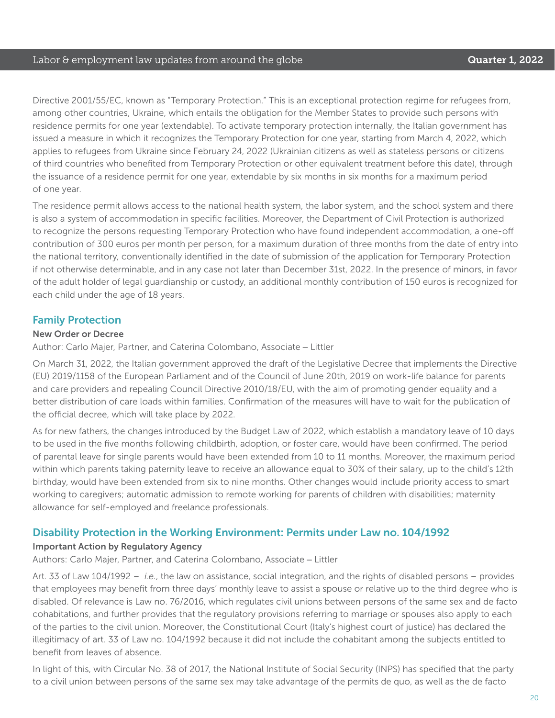#### Labor & employment law updates from around the globe **Cause Container 1, 2022**

Directive 2001/55/EC, known as "Temporary Protection." This is an exceptional protection regime for refugees from, among other countries, Ukraine, which entails the obligation for the Member States to provide such persons with residence permits for one year (extendable). To activate temporary protection internally, the Italian government has issued a measure in which it recognizes the Temporary Protection for one year, starting from March 4, 2022, which applies to refugees from Ukraine since February 24, 2022 (Ukrainian citizens as well as stateless persons or citizens of third countries who benefited from Temporary Protection or other equivalent treatment before this date), through the issuance of a residence permit for one year, extendable by six months in six months for a maximum period of one year.

The residence permit allows access to the national health system, the labor system, and the school system and there is also a system of accommodation in specific facilities. Moreover, the Department of Civil Protection is authorized to recognize the persons requesting Temporary Protection who have found independent accommodation, a one-off contribution of 300 euros per month per person, for a maximum duration of three months from the date of entry into the national territory, conventionally identified in the date of submission of the application for Temporary Protection if not otherwise determinable, and in any case not later than December 31st, 2022. In the presence of minors, in favor of the adult holder of legal guardianship or custody, an additional monthly contribution of 150 euros is recognized for each child under the age of 18 years.

#### Family Protection

#### New Order or Decree

Author: Carlo Majer, Partner, and Caterina Colombano, Associate – Littler

On March 31, 2022, the Italian government approved the draft of the Legislative Decree that implements the Directive (EU) 2019/1158 of the European Parliament and of the Council of June 20th, 2019 on work-life balance for parents and care providers and repealing Council Directive 2010/18/EU, with the aim of promoting gender equality and a better distribution of care loads within families. Confirmation of the measures will have to wait for the publication of the official decree, which will take place by 2022.

As for new fathers, the changes introduced by the Budget Law of 2022, which establish a mandatory leave of 10 days to be used in the five months following childbirth, adoption, or foster care, would have been confirmed. The period of parental leave for single parents would have been extended from 10 to 11 months. Moreover, the maximum period within which parents taking paternity leave to receive an allowance equal to 30% of their salary, up to the child's 12th birthday, would have been extended from six to nine months. Other changes would include priority access to smart working to caregivers; automatic admission to remote working for parents of children with disabilities; maternity allowance for self-employed and freelance professionals.

#### Disability Protection in the Working Environment: Permits under Law no. 104/1992

#### Important Action by Regulatory Agency

Authors: Carlo Majer, Partner, and Caterina Colombano, Associate – Littler

Art. 33 of Law 104/1992 – *i.e.*, the law on assistance, social integration, and the rights of disabled persons – provides that employees may benefit from three days' monthly leave to assist a spouse or relative up to the third degree who is disabled. Of relevance is Law no. 76/2016, which regulates civil unions between persons of the same sex and de facto cohabitations, and further provides that the regulatory provisions referring to marriage or spouses also apply to each of the parties to the civil union. Moreover, the Constitutional Court (Italy's highest court of justice) has declared the illegitimacy of art. 33 of Law no. 104/1992 because it did not include the cohabitant among the subjects entitled to benefit from leaves of absence.

In light of this, with Circular No. 38 of 2017, the National Institute of Social Security (INPS) has specified that the party to a civil union between persons of the same sex may take advantage of the permits de quo, as well as the de facto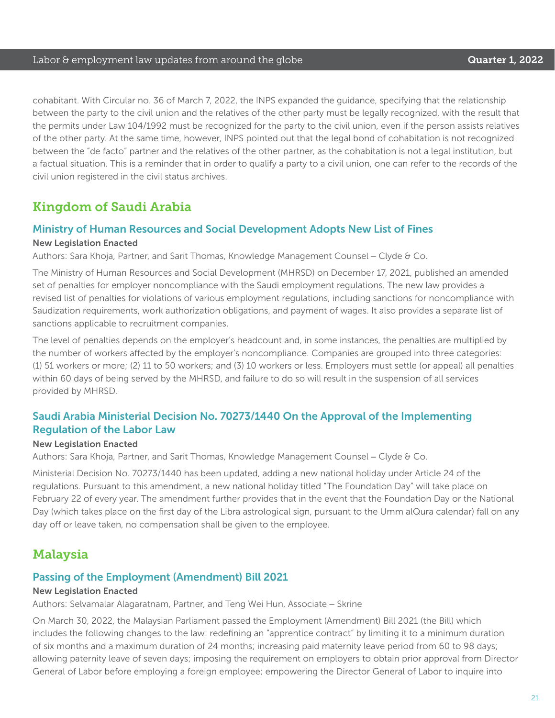cohabitant. With Circular no. 36 of March 7, 2022, the INPS expanded the guidance, specifying that the relationship between the party to the civil union and the relatives of the other party must be legally recognized, with the result that the permits under Law 104/1992 must be recognized for the party to the civil union, even if the person assists relatives of the other party. At the same time, however, INPS pointed out that the legal bond of cohabitation is not recognized between the "de facto" partner and the relatives of the other partner, as the cohabitation is not a legal institution, but a factual situation. This is a reminder that in order to qualify a party to a civil union, one can refer to the records of the civil union registered in the civil status archives.

### Kingdom of Saudi Arabia

#### Ministry of Human Resources and Social Development Adopts New List of Fines New Legislation Enacted

Authors: Sara Khoja, Partner, and Sarit Thomas, Knowledge Management Counsel – Clyde & Co.

The Ministry of Human Resources and Social Development (MHRSD) on December 17, 2021, published an amended set of penalties for employer noncompliance with the Saudi employment regulations. The new law provides a revised list of penalties for violations of various employment regulations, including sanctions for noncompliance with Saudization requirements, work authorization obligations, and payment of wages. It also provides a separate list of sanctions applicable to recruitment companies.

The level of penalties depends on the employer's headcount and, in some instances, the penalties are multiplied by the number of workers affected by the employer's noncompliance. Companies are grouped into three categories: (1) 51 workers or more; (2) 11 to 50 workers; and (3) 10 workers or less. Employers must settle (or appeal) all penalties within 60 days of being served by the MHRSD, and failure to do so will result in the suspension of all services provided by MHRSD.

### Saudi Arabia Ministerial Decision No. 70273/1440 On the Approval of the Implementing Regulation of the Labor Law

#### New Legislation Enacted

Authors: Sara Khoja, Partner, and Sarit Thomas, Knowledge Management Counsel – Clyde & Co.

Ministerial Decision No. 70273/1440 has been updated, adding a new national holiday under Article 24 of the regulations. Pursuant to this amendment, a new national holiday titled "The Foundation Day" will take place on February 22 of every year. The amendment further provides that in the event that the Foundation Day or the National Day (which takes place on the first day of the Libra astrological sign, pursuant to the Umm alQura calendar) fall on any day off or leave taken, no compensation shall be given to the employee.

### **Malaysia**

#### Passing of the Employment (Amendment) Bill 2021

#### New Legislation Enacted

Authors: Selvamalar Alagaratnam, Partner, and Teng Wei Hun, Associate – Skrine

On March 30, 2022, the Malaysian Parliament passed the Employment (Amendment) Bill 2021 (the Bill) which includes the following changes to the law: redefining an "apprentice contract" by limiting it to a minimum duration of six months and a maximum duration of 24 months; increasing paid maternity leave period from 60 to 98 days; allowing paternity leave of seven days; imposing the requirement on employers to obtain prior approval from Director General of Labor before employing a foreign employee; empowering the Director General of Labor to inquire into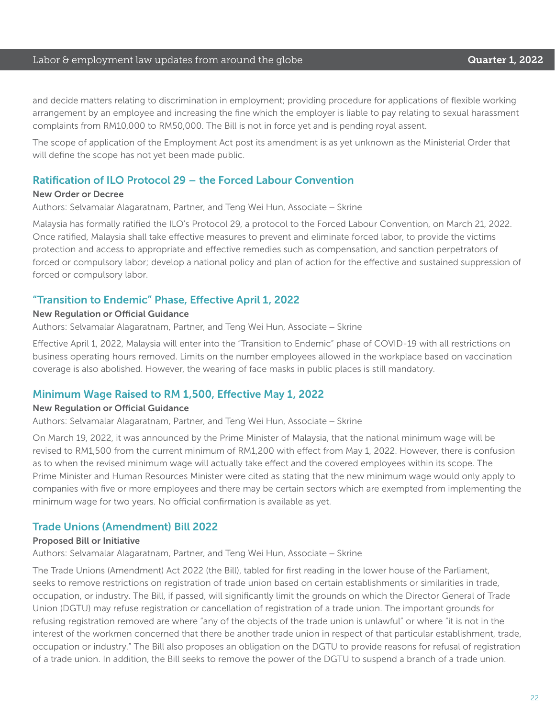#### Labor & employment law updates from around the globe **Cause Communist Constanting Cuarter 1, 2022**

and decide matters relating to discrimination in employment; providing procedure for applications of flexible working arrangement by an employee and increasing the fine which the employer is liable to pay relating to sexual harassment complaints from RM10,000 to RM50,000. The Bill is not in force yet and is pending royal assent.

The scope of application of the Employment Act post its amendment is as yet unknown as the Ministerial Order that will define the scope has not yet been made public.

#### Ratification of ILO Protocol 29 – the Forced Labour Convention

#### New Order or Decree

Authors: Selvamalar Alagaratnam, Partner, and Teng Wei Hun, Associate – Skrine

Malaysia has formally ratified the ILO's Protocol 29, a protocol to the Forced Labour Convention, on March 21, 2022. Once ratified, Malaysia shall take effective measures to prevent and eliminate forced labor, to provide the victims protection and access to appropriate and effective remedies such as compensation, and sanction perpetrators of forced or compulsory labor; develop a national policy and plan of action for the effective and sustained suppression of forced or compulsory labor.

#### "Transition to Endemic" Phase, Effective April 1, 2022

#### New Regulation or Official Guidance

Authors: Selvamalar Alagaratnam, Partner, and Teng Wei Hun, Associate – Skrine

Effective April 1, 2022, Malaysia will enter into the "Transition to Endemic" phase of COVID-19 with all restrictions on business operating hours removed. Limits on the number employees allowed in the workplace based on vaccination coverage is also abolished. However, the wearing of face masks in public places is still mandatory.

#### Minimum Wage Raised to RM 1,500, Effective May 1, 2022

#### New Regulation or Official Guidance

Authors: Selvamalar Alagaratnam, Partner, and Teng Wei Hun, Associate – Skrine

On March 19, 2022, it was announced by the Prime Minister of Malaysia, that the national minimum wage will be revised to RM1,500 from the current minimum of RM1,200 with effect from May 1, 2022. However, there is confusion as to when the revised minimum wage will actually take effect and the covered employees within its scope. The Prime Minister and Human Resources Minister were cited as stating that the new minimum wage would only apply to companies with five or more employees and there may be certain sectors which are exempted from implementing the minimum wage for two years. No official confirmation is available as yet.

#### Trade Unions (Amendment) Bill 2022

#### Proposed Bill or Initiative

Authors: Selvamalar Alagaratnam, Partner, and Teng Wei Hun, Associate – Skrine

The Trade Unions (Amendment) Act 2022 (the Bill), tabled for first reading in the lower house of the Parliament, seeks to remove restrictions on registration of trade union based on certain establishments or similarities in trade, occupation, or industry. The Bill, if passed, will significantly limit the grounds on which the Director General of Trade Union (DGTU) may refuse registration or cancellation of registration of a trade union. The important grounds for refusing registration removed are where "any of the objects of the trade union is unlawful" or where "it is not in the interest of the workmen concerned that there be another trade union in respect of that particular establishment, trade, occupation or industry." The Bill also proposes an obligation on the DGTU to provide reasons for refusal of registration of a trade union. In addition, the Bill seeks to remove the power of the DGTU to suspend a branch of a trade union.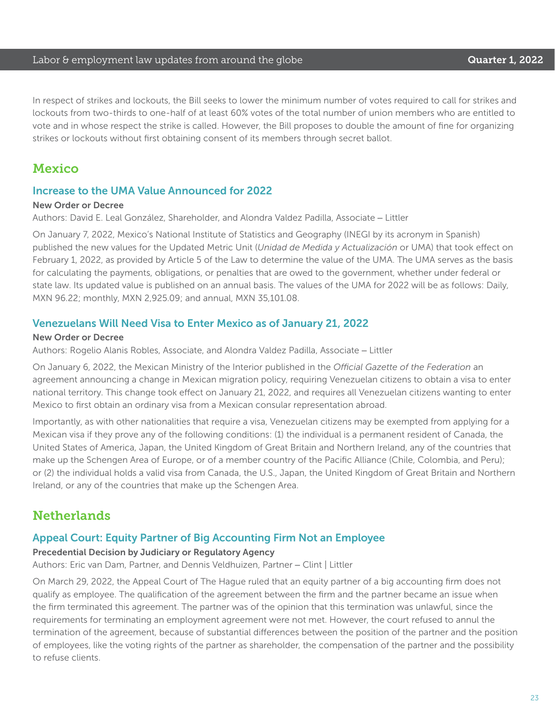#### Labor & employment law updates from around the globe **Cause Container 1, 2022**

In respect of strikes and lockouts, the Bill seeks to lower the minimum number of votes required to call for strikes and lockouts from two-thirds to one-half of at least 60% votes of the total number of union members who are entitled to vote and in whose respect the strike is called. However, the Bill proposes to double the amount of fine for organizing strikes or lockouts without first obtaining consent of its members through secret ballot.

### Mexico

#### Increase to the UMA Value Announced for 2022

#### New Order or Decree

Authors: David E. Leal González, Shareholder, and Alondra Valdez Padilla, Associate – Littler

On January 7, 2022, Mexico's National Institute of Statistics and Geography (INEGI by its acronym in Spanish) published the new values for the Updated Metric Unit (*Unidad de Medida y Actualización* or UMA) that took effect on February 1, 2022, as provided by Article 5 of the Law to determine the value of the UMA. The UMA serves as the basis for calculating the payments, obligations, or penalties that are owed to the government, whether under federal or state law. Its updated value is published on an annual basis. The values of the UMA for 2022 will be as follows: Daily, MXN 96.22; monthly, MXN 2,925.09; and annual, MXN 35,101.08.

#### Venezuelans Will Need Visa to Enter Mexico as of January 21, 2022

#### New Order or Decree

Authors: Rogelio Alanis Robles, Associate, and Alondra Valdez Padilla, Associate – Littler

On January 6, 2022, the Mexican Ministry of the Interior published in the *Official Gazette of the Federation* an agreement announcing a change in Mexican migration policy, requiring Venezuelan citizens to obtain a visa to enter national territory. This change took effect on January 21, 2022, and requires all Venezuelan citizens wanting to enter Mexico to first obtain an ordinary visa from a Mexican consular representation abroad.

Importantly, as with other nationalities that require a visa, Venezuelan citizens may be exempted from applying for a Mexican visa if they prove any of the following conditions: (1) the individual is a permanent resident of Canada, the United States of America, Japan, the United Kingdom of Great Britain and Northern Ireland, any of the countries that make up the Schengen Area of Europe, or of a member country of the Pacific Alliance (Chile, Colombia, and Peru); or (2) the individual holds a valid visa from Canada, the U.S., Japan, the United Kingdom of Great Britain and Northern Ireland, or any of the countries that make up the Schengen Area.

### **Netherlands**

#### Appeal Court: Equity Partner of Big Accounting Firm Not an Employee

#### Precedential Decision by Judiciary or Regulatory Agency

Authors: Eric van Dam, Partner, and Dennis Veldhuizen, Partner – Clint | Littler

On March 29, 2022, the Appeal Court of The Hague ruled that an equity partner of a big accounting firm does not qualify as employee. The qualification of the agreement between the firm and the partner became an issue when the firm terminated this agreement. The partner was of the opinion that this termination was unlawful, since the requirements for terminating an employment agreement were not met. However, the court refused to annul the termination of the agreement, because of substantial differences between the position of the partner and the position of employees, like the voting rights of the partner as shareholder, the compensation of the partner and the possibility to refuse clients.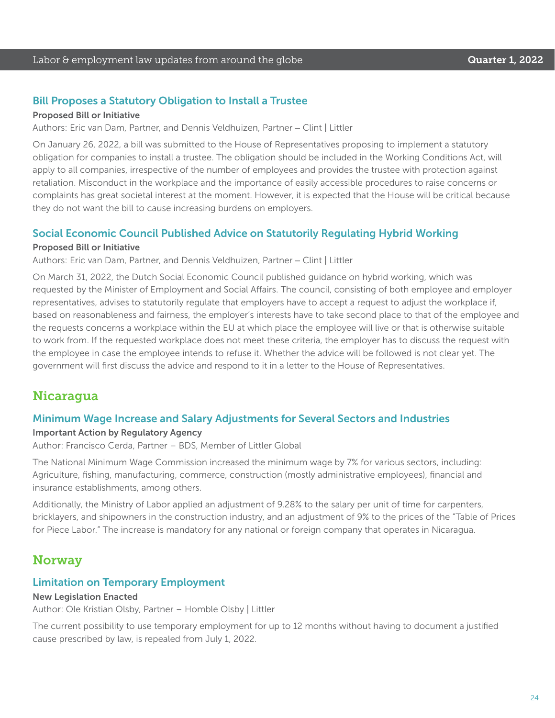#### Bill Proposes a Statutory Obligation to Install a Trustee

#### Proposed Bill or Initiative

Authors: Eric van Dam, Partner, and Dennis Veldhuizen, Partner – Clint | Littler

On January 26, 2022, a bill was submitted to the House of Representatives proposing to implement a statutory obligation for companies to install a trustee. The obligation should be included in the Working Conditions Act, will apply to all companies, irrespective of the number of employees and provides the trustee with protection against retaliation. Misconduct in the workplace and the importance of easily accessible procedures to raise concerns or complaints has great societal interest at the moment. However, it is expected that the House will be critical because they do not want the bill to cause increasing burdens on employers.

#### Social Economic Council Published Advice on Statutorily Regulating Hybrid Working

#### Proposed Bill or Initiative

Authors: Eric van Dam, Partner, and Dennis Veldhuizen, Partner – Clint | Littler

On March 31, 2022, the Dutch Social Economic Council published guidance on hybrid working, which was requested by the Minister of Employment and Social Affairs. The council, consisting of both employee and employer representatives, advises to statutorily regulate that employers have to accept a request to adjust the workplace if, based on reasonableness and fairness, the employer's interests have to take second place to that of the employee and the requests concerns a workplace within the EU at which place the employee will live or that is otherwise suitable to work from. If the requested workplace does not meet these criteria, the employer has to discuss the request with the employee in case the employee intends to refuse it. Whether the advice will be followed is not clear yet. The government will first discuss the advice and respond to it in a letter to the House of Representatives.

### Nicaragua

#### Minimum Wage Increase and Salary Adjustments for Several Sectors and Industries

#### Important Action by Regulatory Agency

Author: Francisco Cerda, Partner – BDS, Member of Littler Global

The National Minimum Wage Commission increased the minimum wage by 7% for various sectors, including: Agriculture, fishing, manufacturing, commerce, construction (mostly administrative employees), financial and insurance establishments, among others.

Additionally, the Ministry of Labor applied an adjustment of 9.28% to the salary per unit of time for carpenters, bricklayers, and shipowners in the construction industry, and an adjustment of 9% to the prices of the "Table of Prices for Piece Labor." The increase is mandatory for any national or foreign company that operates in Nicaragua.

### **Norway**

#### Limitation on Temporary Employment

#### New Legislation Enacted

Author: Ole Kristian Olsby, Partner – Homble Olsby | Littler

The current possibility to use temporary employment for up to 12 months without having to document a justified cause prescribed by law, is repealed from July 1, 2022.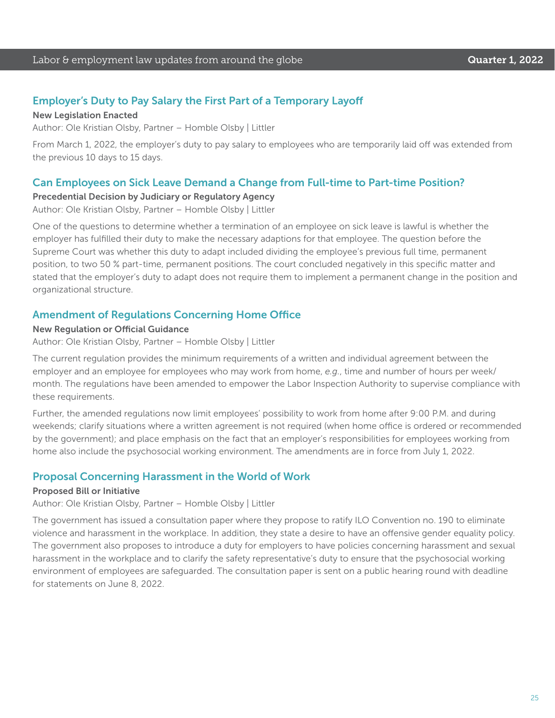### Employer's Duty to Pay Salary the First Part of a Temporary Layoff

#### New Legislation Enacted

Author: Ole Kristian Olsby, Partner – Homble Olsby | Littler

From March 1, 2022, the employer's duty to pay salary to employees who are temporarily laid off was extended from the previous 10 days to 15 days.

#### Can Employees on Sick Leave Demand a Change from Full-time to Part-time Position?

#### Precedential Decision by Judiciary or Regulatory Agency

Author: Ole Kristian Olsby, Partner – Homble Olsby | Littler

One of the questions to determine whether a termination of an employee on sick leave is lawful is whether the employer has fulfilled their duty to make the necessary adaptions for that employee. The question before the Supreme Court was whether this duty to adapt included dividing the employee's previous full time, permanent position, to two 50 % part-time, permanent positions. The court concluded negatively in this specific matter and stated that the employer's duty to adapt does not require them to implement a permanent change in the position and organizational structure.

#### Amendment of Regulations Concerning Home Office

#### New Regulation or Official Guidance

Author: Ole Kristian Olsby, Partner – Homble Olsby | Littler

The current regulation provides the minimum requirements of a written and individual agreement between the employer and an employee for employees who may work from home, *e.g.*, time and number of hours per week/ month. The regulations have been amended to empower the Labor Inspection Authority to supervise compliance with these requirements.

Further, the amended regulations now limit employees' possibility to work from home after 9:00 P.M. and during weekends; clarify situations where a written agreement is not required (when home office is ordered or recommended by the government); and place emphasis on the fact that an employer's responsibilities for employees working from home also include the psychosocial working environment. The amendments are in force from July 1, 2022.

#### Proposal Concerning Harassment in the World of Work

#### Proposed Bill or Initiative

Author: Ole Kristian Olsby, Partner – Homble Olsby | Littler

The government has issued a consultation paper where they propose to ratify ILO Convention no. 190 to eliminate violence and harassment in the workplace. In addition, they state a desire to have an offensive gender equality policy. The government also proposes to introduce a duty for employers to have policies concerning harassment and sexual harassment in the workplace and to clarify the safety representative's duty to ensure that the psychosocial working environment of employees are safeguarded. The consultation paper is sent on a public hearing round with deadline for statements on June 8, 2022.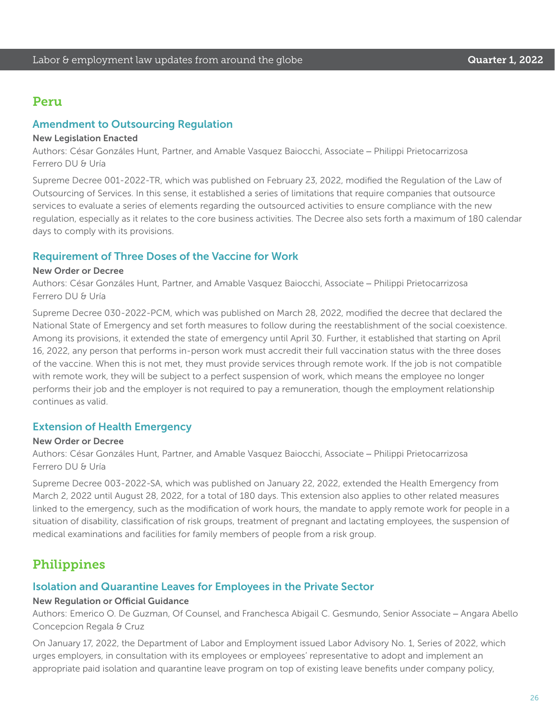### Peru

#### Amendment to Outsourcing Regulation

#### New Legislation Enacted

Authors: César Gonzáles Hunt, Partner, and Amable Vasquez Baiocchi, Associate – Philippi Prietocarrizosa Ferrero DU & Uría

Supreme Decree 001-2022-TR, which was published on February 23, 2022, modified the Regulation of the Law of Outsourcing of Services. In this sense, it established a series of limitations that require companies that outsource services to evaluate a series of elements regarding the outsourced activities to ensure compliance with the new regulation, especially as it relates to the core business activities. The Decree also sets forth a maximum of 180 calendar days to comply with its provisions.

#### Requirement of Three Doses of the Vaccine for Work

#### New Order or Decree

Authors: César Gonzáles Hunt, Partner, and Amable Vasquez Baiocchi, Associate – Philippi Prietocarrizosa Ferrero DU & Uría

Supreme Decree 030-2022-PCM, which was published on March 28, 2022, modified the decree that declared the National State of Emergency and set forth measures to follow during the reestablishment of the social coexistence. Among its provisions, it extended the state of emergency until April 30. Further, it established that starting on April 16, 2022, any person that performs in-person work must accredit their full vaccination status with the three doses of the vaccine. When this is not met, they must provide services through remote work. If the job is not compatible with remote work, they will be subject to a perfect suspension of work, which means the employee no longer performs their job and the employer is not required to pay a remuneration, though the employment relationship continues as valid.

#### Extension of Health Emergency

#### New Order or Decree

Authors: César Gonzáles Hunt, Partner, and Amable Vasquez Baiocchi, Associate – Philippi Prietocarrizosa Ferrero DU & Uría

Supreme Decree 003-2022-SA, which was published on January 22, 2022, extended the Health Emergency from March 2, 2022 until August 28, 2022, for a total of 180 days. This extension also applies to other related measures linked to the emergency, such as the modification of work hours, the mandate to apply remote work for people in a situation of disability, classification of risk groups, treatment of pregnant and lactating employees, the suspension of medical examinations and facilities for family members of people from a risk group.

## Philippines

#### Isolation and Quarantine Leaves for Employees in the Private Sector

#### New Regulation or Official Guidance

Authors: Emerico O. De Guzman, Of Counsel, and Franchesca Abigail C. Gesmundo, Senior Associate – Angara Abello Concepcion Regala & Cruz

On January 17, 2022, the Department of Labor and Employment issued Labor Advisory No. 1, Series of 2022, which urges employers, in consultation with its employees or employees' representative to adopt and implement an appropriate paid isolation and quarantine leave program on top of existing leave benefits under company policy,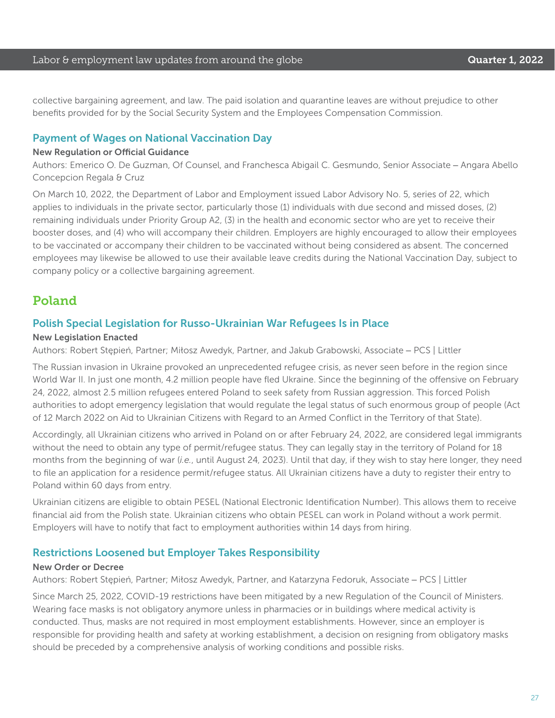collective bargaining agreement, and law. The paid isolation and quarantine leaves are without prejudice to other benefits provided for by the Social Security System and the Employees Compensation Commission.

#### Payment of Wages on National Vaccination Day

#### New Regulation or Official Guidance

Authors: Emerico O. De Guzman, Of Counsel, and Franchesca Abigail C. Gesmundo, Senior Associate – Angara Abello Concepcion Regala & Cruz

On March 10, 2022, the Department of Labor and Employment issued Labor Advisory No. 5, series of 22, which applies to individuals in the private sector, particularly those (1) individuals with due second and missed doses, (2) remaining individuals under Priority Group A2, (3) in the health and economic sector who are yet to receive their booster doses, and (4) who will accompany their children. Employers are highly encouraged to allow their employees to be vaccinated or accompany their children to be vaccinated without being considered as absent. The concerned employees may likewise be allowed to use their available leave credits during the National Vaccination Day, subject to company policy or a collective bargaining agreement.

### Poland

#### Polish Special Legislation for Russo-Ukrainian War Refugees Is in Place

#### New Legislation Enacted

Authors: Robert Stępień, Partner; Miłosz Awedyk, Partner, and Jakub Grabowski, Associate – PCS | Littler

The Russian invasion in Ukraine provoked an unprecedented refugee crisis, as never seen before in the region since World War II. In just one month, 4.2 million people have fled Ukraine. Since the beginning of the offensive on February 24, 2022, almost 2.5 million refugees entered Poland to seek safety from Russian aggression. This forced Polish authorities to adopt emergency legislation that would regulate the legal status of such enormous group of people (Act of 12 March 2022 on Aid to Ukrainian Citizens with Regard to an Armed Conflict in the Territory of that State).

Accordingly, all Ukrainian citizens who arrived in Poland on or after February 24, 2022, are considered legal immigrants without the need to obtain any type of permit/refugee status. They can legally stay in the territory of Poland for 18 months from the beginning of war (*i.e.*, until August 24, 2023). Until that day, if they wish to stay here longer, they need to file an application for a residence permit/refugee status. All Ukrainian citizens have a duty to register their entry to Poland within 60 days from entry.

Ukrainian citizens are eligible to obtain PESEL (National Electronic Identification Number). This allows them to receive financial aid from the Polish state. Ukrainian citizens who obtain PESEL can work in Poland without a work permit. Employers will have to notify that fact to employment authorities within 14 days from hiring.

#### Restrictions Loosened but Employer Takes Responsibility

#### New Order or Decree

Authors: Robert Stępień, Partner; Miłosz Awedyk, Partner, and Katarzyna Fedoruk, Associate – PCS | Littler

Since March 25, 2022, COVID-19 restrictions have been mitigated by a new Regulation of the Council of Ministers. Wearing face masks is not obligatory anymore unless in pharmacies or in buildings where medical activity is conducted. Thus, masks are not required in most employment establishments. However, since an employer is responsible for providing health and safety at working establishment, a decision on resigning from obligatory masks should be preceded by a comprehensive analysis of working conditions and possible risks.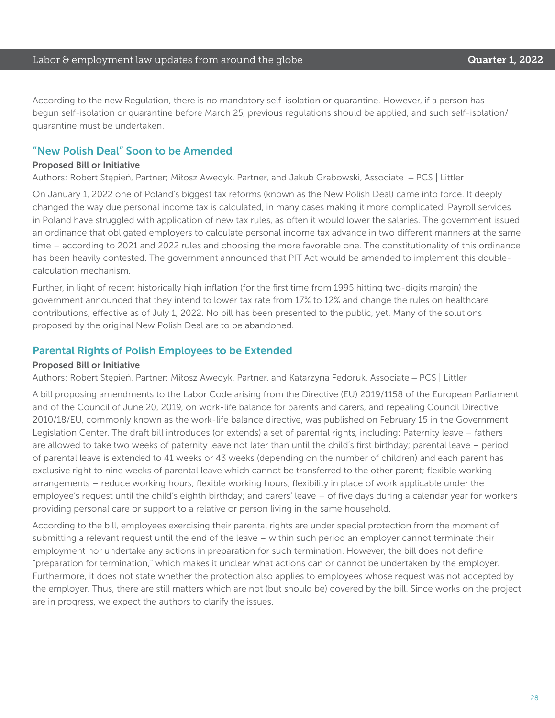According to the new Regulation, there is no mandatory self-isolation or quarantine. However, if a person has begun self-isolation or quarantine before March 25, previous regulations should be applied, and such self-isolation/ quarantine must be undertaken.

### "New Polish Deal" Soon to be Amended

#### Proposed Bill or Initiative

Authors: Robert Stępień, Partner; Miłosz Awedyk, Partner, and Jakub Grabowski, Associate – PCS | Littler

On January 1, 2022 one of Poland's biggest tax reforms (known as the New Polish Deal) came into force. It deeply changed the way due personal income tax is calculated, in many cases making it more complicated. Payroll services in Poland have struggled with application of new tax rules, as often it would lower the salaries. The government issued an ordinance that obligated employers to calculate personal income tax advance in two different manners at the same time – according to 2021 and 2022 rules and choosing the more favorable one. The constitutionality of this ordinance has been heavily contested. The government announced that PIT Act would be amended to implement this doublecalculation mechanism.

Further, in light of recent historically high inflation (for the first time from 1995 hitting two-digits margin) the government announced that they intend to lower tax rate from 17% to 12% and change the rules on healthcare contributions, effective as of July 1, 2022. No bill has been presented to the public, yet. Many of the solutions proposed by the original New Polish Deal are to be abandoned.

#### Parental Rights of Polish Employees to be Extended

#### Proposed Bill or Initiative

Authors: Robert Stępień, Partner; Miłosz Awedyk, Partner, and Katarzyna Fedoruk, Associate – PCS | Littler

A bill proposing amendments to the Labor Code arising from the Directive (EU) 2019/1158 of the European Parliament and of the Council of June 20, 2019, on work-life balance for parents and carers, and repealing Council Directive 2010/18/EU, commonly known as the work-life balance directive, was published on February 15 in the Government Legislation Center. The draft bill introduces (or extends) a set of parental rights, including: Paternity leave – fathers are allowed to take two weeks of paternity leave not later than until the child's first birthday; parental leave – period of parental leave is extended to 41 weeks or 43 weeks (depending on the number of children) and each parent has exclusive right to nine weeks of parental leave which cannot be transferred to the other parent; flexible working arrangements – reduce working hours, flexible working hours, flexibility in place of work applicable under the employee's request until the child's eighth birthday; and carers' leave – of five days during a calendar year for workers providing personal care or support to a relative or person living in the same household.

According to the bill, employees exercising their parental rights are under special protection from the moment of submitting a relevant request until the end of the leave – within such period an employer cannot terminate their employment nor undertake any actions in preparation for such termination. However, the bill does not define "preparation for termination," which makes it unclear what actions can or cannot be undertaken by the employer. Furthermore, it does not state whether the protection also applies to employees whose request was not accepted by the employer. Thus, there are still matters which are not (but should be) covered by the bill. Since works on the project are in progress, we expect the authors to clarify the issues.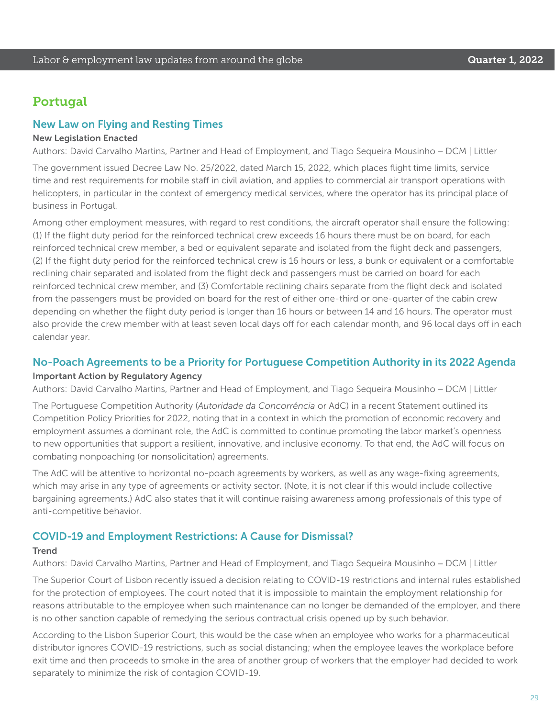### Portugal

#### New Law on Flying and Resting Times

#### New Legislation Enacted

Authors: David Carvalho Martins, Partner and Head of Employment, and Tiago Sequeira Mousinho – DCM | Littler

The government issued Decree Law No. 25/2022, dated March 15, 2022, which places flight time limits, service time and rest requirements for mobile staff in civil aviation, and applies to commercial air transport operations with helicopters, in particular in the context of emergency medical services, where the operator has its principal place of business in Portugal.

Among other employment measures, with regard to rest conditions, the aircraft operator shall ensure the following: (1) If the flight duty period for the reinforced technical crew exceeds 16 hours there must be on board, for each reinforced technical crew member, a bed or equivalent separate and isolated from the flight deck and passengers, (2) If the flight duty period for the reinforced technical crew is 16 hours or less, a bunk or equivalent or a comfortable reclining chair separated and isolated from the flight deck and passengers must be carried on board for each reinforced technical crew member, and (3) Comfortable reclining chairs separate from the flight deck and isolated from the passengers must be provided on board for the rest of either one-third or one-quarter of the cabin crew depending on whether the flight duty period is longer than 16 hours or between 14 and 16 hours. The operator must also provide the crew member with at least seven local days off for each calendar month, and 96 local days off in each calendar year.

#### No-Poach Agreements to be a Priority for Portuguese Competition Authority in its 2022 Agenda

#### Important Action by Regulatory Agency

Authors: David Carvalho Martins, Partner and Head of Employment, and Tiago Sequeira Mousinho – DCM | Littler

The Portuguese Competition Authority (*Autoridade da Concorrência* or AdC) in a recent Statement outlined its Competition Policy Priorities for 2022, noting that in a context in which the promotion of economic recovery and employment assumes a dominant role, the AdC is committed to continue promoting the labor market's openness to new opportunities that support a resilient, innovative, and inclusive economy. To that end, the AdC will focus on combating nonpoaching (or nonsolicitation) agreements.

The AdC will be attentive to horizontal no-poach agreements by workers, as well as any wage-fixing agreements, which may arise in any type of agreements or activity sector. (Note, it is not clear if this would include collective bargaining agreements.) AdC also states that it will continue raising awareness among professionals of this type of anti-competitive behavior.

#### COVID-19 and Employment Restrictions: A Cause for Dismissal?

#### **Trend**

Authors: David Carvalho Martins, Partner and Head of Employment, and Tiago Sequeira Mousinho – DCM | Littler

The Superior Court of Lisbon recently issued a decision relating to COVID-19 restrictions and internal rules established for the protection of employees. The court noted that it is impossible to maintain the employment relationship for reasons attributable to the employee when such maintenance can no longer be demanded of the employer, and there is no other sanction capable of remedying the serious contractual crisis opened up by such behavior.

According to the Lisbon Superior Court, this would be the case when an employee who works for a pharmaceutical distributor ignores COVID-19 restrictions, such as social distancing; when the employee leaves the workplace before exit time and then proceeds to smoke in the area of another group of workers that the employer had decided to work separately to minimize the risk of contagion COVID-19.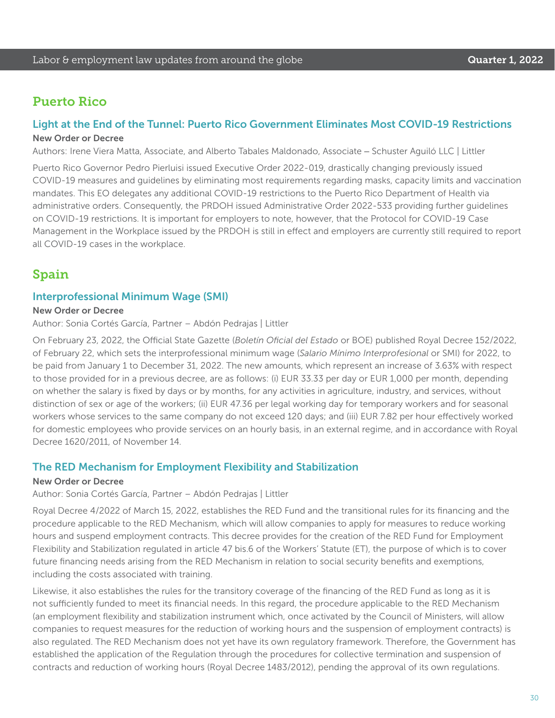### Puerto Rico

#### Light at the End of the Tunnel: Puerto Rico Government Eliminates Most COVID-19 Restrictions New Order or Decree

Authors: Irene Viera Matta, Associate, and Alberto Tabales Maldonado, Associate – Schuster Aguiló LLC | Littler

Puerto Rico Governor Pedro Pierluisi issued Executive Order 2022-019, drastically changing previously issued COVID-19 measures and guidelines by eliminating most requirements regarding masks, capacity limits and vaccination mandates. This EO delegates any additional COVID-19 restrictions to the Puerto Rico Department of Health via administrative orders. Consequently, the PRDOH issued Administrative Order 2022-533 providing further guidelines on COVID-19 restrictions. It is important for employers to note, however, that the Protocol for COVID-19 Case Management in the Workplace issued by the PRDOH is still in effect and employers are currently still required to report all COVID-19 cases in the workplace.

### Spain

#### Interprofessional Minimum Wage (SMI)

#### New Order or Decree

Author: Sonia Cortés García, Partner – Abdón Pedrajas | Littler

On February 23, 2022, the Official State Gazette (*Boletín Oficial del Estado* or BOE) published Royal Decree 152/2022, of February 22, which sets the interprofessional minimum wage (*Salario Mínimo Interprofesional* or SMI) for 2022, to be paid from January 1 to December 31, 2022. The new amounts, which represent an increase of 3.63% with respect to those provided for in a previous decree, are as follows: (i) EUR 33.33 per day or EUR 1,000 per month, depending on whether the salary is fixed by days or by months, for any activities in agriculture, industry, and services, without distinction of sex or age of the workers; (ii) EUR 47.36 per legal working day for temporary workers and for seasonal workers whose services to the same company do not exceed 120 days; and (iii) EUR 7.82 per hour effectively worked for domestic employees who provide services on an hourly basis, in an external regime, and in accordance with Royal Decree 1620/2011, of November 14.

#### The RED Mechanism for Employment Flexibility and Stabilization

#### New Order or Decree

Author: Sonia Cortés García, Partner – Abdón Pedrajas | Littler

Royal Decree 4/2022 of March 15, 2022, establishes the RED Fund and the transitional rules for its financing and the procedure applicable to the RED Mechanism, which will allow companies to apply for measures to reduce working hours and suspend employment contracts. This decree provides for the creation of the RED Fund for Employment Flexibility and Stabilization regulated in article 47 bis.6 of the Workers' Statute (ET), the purpose of which is to cover future financing needs arising from the RED Mechanism in relation to social security benefits and exemptions, including the costs associated with training.

Likewise, it also establishes the rules for the transitory coverage of the financing of the RED Fund as long as it is not sufficiently funded to meet its financial needs. In this regard, the procedure applicable to the RED Mechanism (an employment flexibility and stabilization instrument which, once activated by the Council of Ministers, will allow companies to request measures for the reduction of working hours and the suspension of employment contracts) is also regulated. The RED Mechanism does not yet have its own regulatory framework. Therefore, the Government has established the application of the Regulation through the procedures for collective termination and suspension of contracts and reduction of working hours (Royal Decree 1483/2012), pending the approval of its own regulations.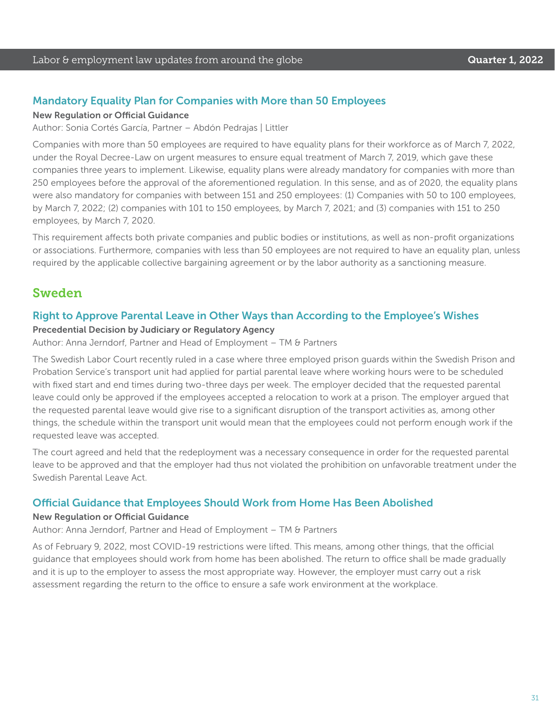#### Mandatory Equality Plan for Companies with More than 50 Employees

#### New Regulation or Official Guidance

Author: Sonia Cortés García, Partner – Abdón Pedrajas | Littler

Companies with more than 50 employees are required to have equality plans for their workforce as of March 7, 2022, under the Royal Decree-Law on urgent measures to ensure equal treatment of March 7, 2019, which gave these companies three years to implement. Likewise, equality plans were already mandatory for companies with more than 250 employees before the approval of the aforementioned regulation. In this sense, and as of 2020, the equality plans were also mandatory for companies with between 151 and 250 employees: (1) Companies with 50 to 100 employees, by March 7, 2022; (2) companies with 101 to 150 employees, by March 7, 2021; and (3) companies with 151 to 250 employees, by March 7, 2020.

This requirement affects both private companies and public bodies or institutions, as well as non-profit organizations or associations. Furthermore, companies with less than 50 employees are not required to have an equality plan, unless required by the applicable collective bargaining agreement or by the labor authority as a sanctioning measure.

### Sweden

#### Right to Approve Parental Leave in Other Ways than According to the Employee's Wishes

#### Precedential Decision by Judiciary or Regulatory Agency

Author: Anna Jerndorf, Partner and Head of Employment – TM & Partners

The Swedish Labor Court recently ruled in a case where three employed prison guards within the Swedish Prison and Probation Service's transport unit had applied for partial parental leave where working hours were to be scheduled with fixed start and end times during two-three days per week. The employer decided that the requested parental leave could only be approved if the employees accepted a relocation to work at a prison. The employer argued that the requested parental leave would give rise to a significant disruption of the transport activities as, among other things, the schedule within the transport unit would mean that the employees could not perform enough work if the requested leave was accepted.

The court agreed and held that the redeployment was a necessary consequence in order for the requested parental leave to be approved and that the employer had thus not violated the prohibition on unfavorable treatment under the Swedish Parental Leave Act.

#### Official Guidance that Employees Should Work from Home Has Been Abolished

#### New Regulation or Official Guidance

Author: Anna Jerndorf, Partner and Head of Employment – TM & Partners

As of February 9, 2022, most COVID-19 restrictions were lifted. This means, among other things, that the official guidance that employees should work from home has been abolished. The return to office shall be made gradually and it is up to the employer to assess the most appropriate way. However, the employer must carry out a risk assessment regarding the return to the office to ensure a safe work environment at the workplace.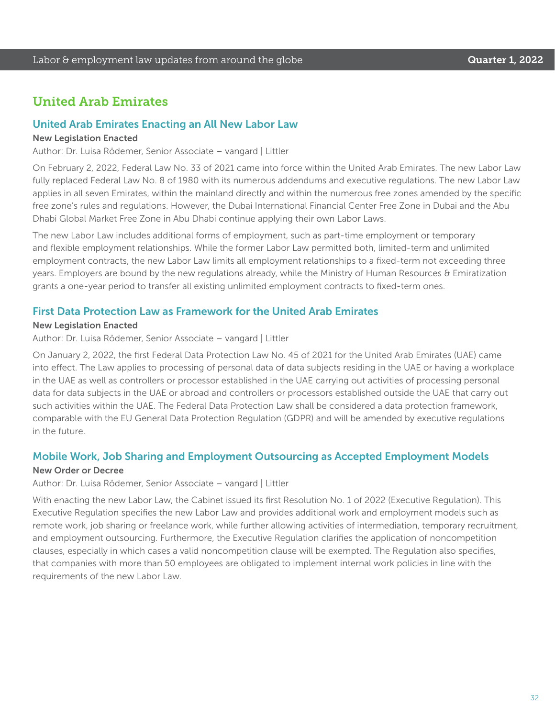### United Arab Emirates

#### United Arab Emirates Enacting an All New Labor Law

#### New Legislation Enacted

Author: Dr. Luisa Rödemer, Senior Associate – vangard | Littler

On February 2, 2022, Federal Law No. 33 of 2021 came into force within the United Arab Emirates. The new Labor Law fully replaced Federal Law No. 8 of 1980 with its numerous addendums and executive regulations. The new Labor Law applies in all seven Emirates, within the mainland directly and within the numerous free zones amended by the specific free zone's rules and regulations. However, the Dubai International Financial Center Free Zone in Dubai and the Abu Dhabi Global Market Free Zone in Abu Dhabi continue applying their own Labor Laws.

The new Labor Law includes additional forms of employment, such as part-time employment or temporary and flexible employment relationships. While the former Labor Law permitted both, limited-term and unlimited employment contracts, the new Labor Law limits all employment relationships to a fixed-term not exceeding three years. Employers are bound by the new regulations already, while the Ministry of Human Resources & Emiratization grants a one-year period to transfer all existing unlimited employment contracts to fixed-term ones.

#### First Data Protection Law as Framework for the United Arab Emirates

#### New Legislation Enacted

Author: Dr. Luisa Rödemer, Senior Associate – vangard | Littler

On January 2, 2022, the first Federal Data Protection Law No. 45 of 2021 for the United Arab Emirates (UAE) came into effect. The Law applies to processing of personal data of data subjects residing in the UAE or having a workplace in the UAE as well as controllers or processor established in the UAE carrying out activities of processing personal data for data subjects in the UAE or abroad and controllers or processors established outside the UAE that carry out such activities within the UAE. The Federal Data Protection Law shall be considered a data protection framework, comparable with the EU General Data Protection Regulation (GDPR) and will be amended by executive regulations in the future.

#### Mobile Work, Job Sharing and Employment Outsourcing as Accepted Employment Models

#### New Order or Decree

Author: Dr. Luisa Rödemer, Senior Associate – vangard | Littler

With enacting the new Labor Law, the Cabinet issued its first Resolution No. 1 of 2022 (Executive Regulation). This Executive Regulation specifies the new Labor Law and provides additional work and employment models such as remote work, job sharing or freelance work, while further allowing activities of intermediation, temporary recruitment, and employment outsourcing. Furthermore, the Executive Regulation clarifies the application of noncompetition clauses, especially in which cases a valid noncompetition clause will be exempted. The Regulation also specifies, that companies with more than 50 employees are obligated to implement internal work policies in line with the requirements of the new Labor Law.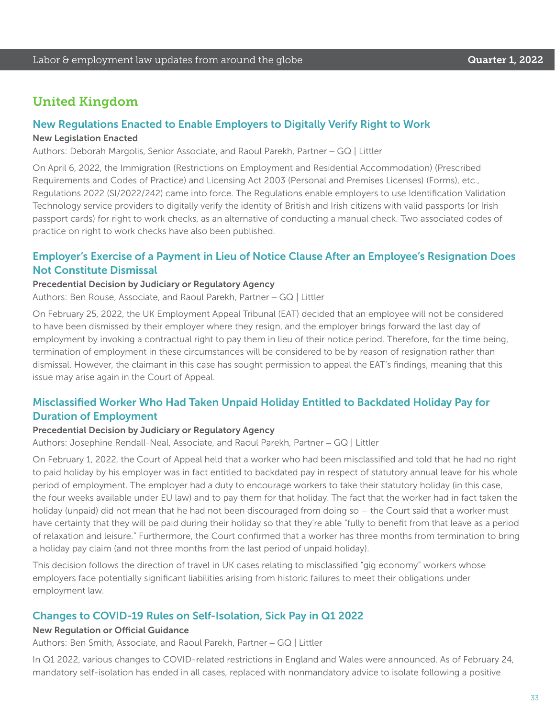### United Kingdom

#### New Regulations Enacted to Enable Employers to Digitally Verify Right to Work

#### New Legislation Enacted

Authors: Deborah Margolis, Senior Associate, and Raoul Parekh, Partner – GQ | Littler

On April 6, 2022, the Immigration (Restrictions on Employment and Residential Accommodation) (Prescribed Requirements and Codes of Practice) and Licensing Act 2003 (Personal and Premises Licenses) (Forms), etc., Regulations 2022 (SI/2022/242) came into force. The Regulations enable employers to use Identification Validation Technology service providers to digitally verify the identity of British and Irish citizens with valid passports (or Irish passport cards) for right to work checks, as an alternative of conducting a manual check. Two associated codes of practice on right to work checks have also been published.

### Employer's Exercise of a Payment in Lieu of Notice Clause After an Employee's Resignation Does Not Constitute Dismissal

#### Precedential Decision by Judiciary or Regulatory Agency

Authors: Ben Rouse, Associate, and Raoul Parekh, Partner – GQ | Littler

On February 25, 2022, the UK Employment Appeal Tribunal (EAT) decided that an employee will not be considered to have been dismissed by their employer where they resign, and the employer brings forward the last day of employment by invoking a contractual right to pay them in lieu of their notice period. Therefore, for the time being, termination of employment in these circumstances will be considered to be by reason of resignation rather than dismissal. However, the claimant in this case has sought permission to appeal the EAT's findings, meaning that this issue may arise again in the Court of Appeal.

### Misclassified Worker Who Had Taken Unpaid Holiday Entitled to Backdated Holiday Pay for Duration of Employment

#### Precedential Decision by Judiciary or Regulatory Agency

Authors: Josephine Rendall-Neal, Associate, and Raoul Parekh, Partner – GQ | Littler

On February 1, 2022, the Court of Appeal held that a worker who had been misclassified and told that he had no right to paid holiday by his employer was in fact entitled to backdated pay in respect of statutory annual leave for his whole period of employment. The employer had a duty to encourage workers to take their statutory holiday (in this case, the four weeks available under EU law) and to pay them for that holiday. The fact that the worker had in fact taken the holiday (unpaid) did not mean that he had not been discouraged from doing so - the Court said that a worker must have certainty that they will be paid during their holiday so that they're able "fully to benefit from that leave as a period of relaxation and leisure." Furthermore, the Court confirmed that a worker has three months from termination to bring a holiday pay claim (and not three months from the last period of unpaid holiday).

This decision follows the direction of travel in UK cases relating to misclassified "gig economy" workers whose employers face potentially significant liabilities arising from historic failures to meet their obligations under employment law.

#### Changes to COVID-19 Rules on Self-Isolation, Sick Pay in Q1 2022

#### New Regulation or Official Guidance

Authors: Ben Smith, Associate, and Raoul Parekh, Partner – GQ | Littler

In Q1 2022, various changes to COVID-related restrictions in England and Wales were announced. As of February 24, mandatory self-isolation has ended in all cases, replaced with nonmandatory advice to isolate following a positive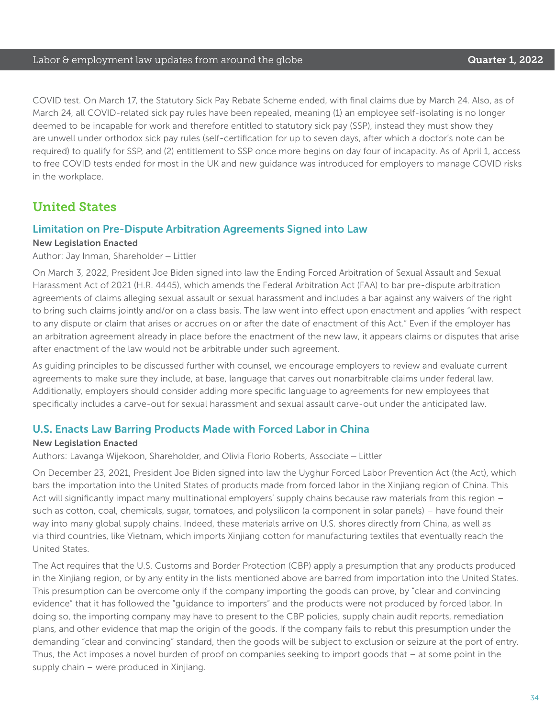COVID test. On March 17, the Statutory Sick Pay Rebate Scheme ended, with final claims due by March 24. Also, as of March 24, all COVID-related sick pay rules have been repealed, meaning (1) an employee self-isolating is no longer deemed to be incapable for work and therefore entitled to statutory sick pay (SSP), instead they must show they are unwell under orthodox sick pay rules (self-certification for up to seven days, after which a doctor's note can be required) to qualify for SSP, and (2) entitlement to SSP once more begins on day four of incapacity. As of April 1, access to free COVID tests ended for most in the UK and new guidance was introduced for employers to manage COVID risks in the workplace.

### United States

#### Limitation on Pre-Dispute Arbitration Agreements Signed into Law

#### New Legislation Enacted

Author: Jay Inman, Shareholder – Littler

On March 3, 2022, President Joe Biden signed into law the Ending Forced Arbitration of Sexual Assault and Sexual Harassment Act of 2021 (H.R. 4445), which amends the Federal Arbitration Act (FAA) to bar pre-dispute arbitration agreements of claims alleging sexual assault or sexual harassment and includes a bar against any waivers of the right to bring such claims jointly and/or on a class basis. The law went into effect upon enactment and applies "with respect to any dispute or claim that arises or accrues on or after the date of enactment of this Act." Even if the employer has an arbitration agreement already in place before the enactment of the new law, it appears claims or disputes that arise after enactment of the law would not be arbitrable under such agreement.

As guiding principles to be discussed further with counsel, we encourage employers to review and evaluate current agreements to make sure they include, at base, language that carves out nonarbitrable claims under federal law. Additionally, employers should consider adding more specific language to agreements for new employees that specifically includes a carve-out for sexual harassment and sexual assault carve-out under the anticipated law.

#### U.S. Enacts Law Barring Products Made with Forced Labor in China

#### New Legislation Enacted

Authors: Lavanga Wijekoon, Shareholder, and Olivia Florio Roberts, Associate – Littler

On December 23, 2021, President Joe Biden signed into law the Uyghur Forced Labor Prevention Act (the Act), which bars the importation into the United States of products made from forced labor in the Xinjiang region of China. This Act will significantly impact many multinational employers' supply chains because raw materials from this region – such as cotton, coal, chemicals, sugar, tomatoes, and polysilicon (a component in solar panels) – have found their way into many global supply chains. Indeed, these materials arrive on U.S. shores directly from China, as well as via third countries, like Vietnam, which imports Xinjiang cotton for manufacturing textiles that eventually reach the United States.

The Act requires that the U.S. Customs and Border Protection (CBP) apply a presumption that any products produced in the Xinjiang region, or by any entity in the lists mentioned above are barred from importation into the United States. This presumption can be overcome only if the company importing the goods can prove, by "clear and convincing evidence" that it has followed the "guidance to importers" and the products were not produced by forced labor. In doing so, the importing company may have to present to the CBP policies, supply chain audit reports, remediation plans, and other evidence that map the origin of the goods. If the company fails to rebut this presumption under the demanding "clear and convincing" standard, then the goods will be subject to exclusion or seizure at the port of entry. Thus, the Act imposes a novel burden of proof on companies seeking to import goods that – at some point in the supply chain – were produced in Xinjiang.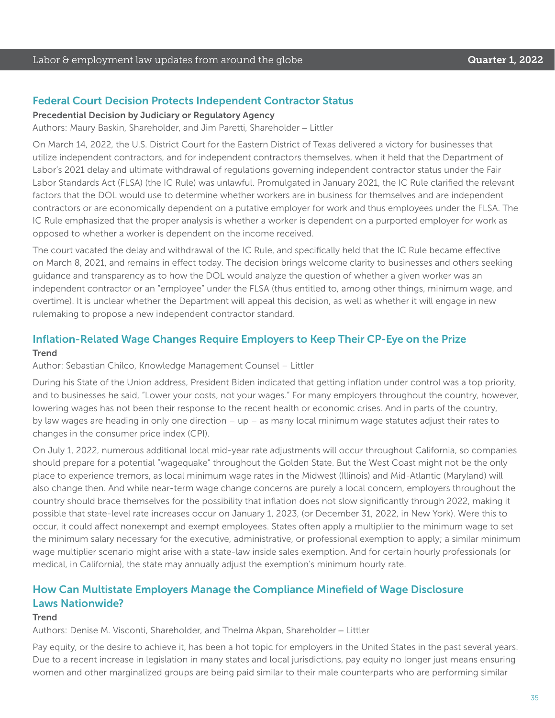#### Federal Court Decision Protects Independent Contractor Status

#### Precedential Decision by Judiciary or Regulatory Agency

Authors: Maury Baskin, Shareholder, and Jim Paretti, Shareholder – Littler

On March 14, 2022, the U.S. District Court for the Eastern District of Texas delivered a victory for businesses that utilize independent contractors, and for independent contractors themselves, when it held that the Department of Labor's 2021 delay and ultimate withdrawal of regulations governing independent contractor status under the Fair Labor Standards Act (FLSA) (the IC Rule) was unlawful. Promulgated in January 2021, the IC Rule clarified the relevant factors that the DOL would use to determine whether workers are in business for themselves and are independent contractors or are economically dependent on a putative employer for work and thus employees under the FLSA. The IC Rule emphasized that the proper analysis is whether a worker is dependent on a purported employer for work as opposed to whether a worker is dependent on the income received.

The court vacated the delay and withdrawal of the IC Rule, and specifically held that the IC Rule became effective on March 8, 2021, and remains in effect today. The decision brings welcome clarity to businesses and others seeking guidance and transparency as to how the DOL would analyze the question of whether a given worker was an independent contractor or an "employee" under the FLSA (thus entitled to, among other things, minimum wage, and overtime). It is unclear whether the Department will appeal this decision, as well as whether it will engage in new rulemaking to propose a new independent contractor standard.

### Inflation-Related Wage Changes Require Employers to Keep Their CP-Eye on the Prize

#### **Trend**

#### Author: Sebastian Chilco, Knowledge Management Counsel – Littler

During his State of the Union address, President Biden indicated that getting inflation under control was a top priority, and to businesses he said, "Lower your costs, not your wages." For many employers throughout the country, however, lowering wages has not been their response to the recent health or economic crises. And in parts of the country, by law wages are heading in only one direction – up – as many local minimum wage statutes adjust their rates to changes in the consumer price index (CPI).

On July 1, 2022, numerous additional local mid-year rate adjustments will occur throughout California, so companies should prepare for a potential "wagequake" throughout the Golden State. But the West Coast might not be the only place to experience tremors, as local minimum wage rates in the Midwest (Illinois) and Mid-Atlantic (Maryland) will also change then. And while near-term wage change concerns are purely a local concern, employers throughout the country should brace themselves for the possibility that inflation does not slow significantly through 2022, making it possible that state-level rate increases occur on January 1, 2023, (or December 31, 2022, in New York). Were this to occur, it could affect nonexempt and exempt employees. States often apply a multiplier to the minimum wage to set the minimum salary necessary for the executive, administrative, or professional exemption to apply; a similar minimum wage multiplier scenario might arise with a state-law inside sales exemption. And for certain hourly professionals (or medical, in California), the state may annually adjust the exemption's minimum hourly rate.

### How Can Multistate Employers Manage the Compliance Minefield of Wage Disclosure Laws Nationwide?

#### **Trend**

Authors: Denise M. Visconti, Shareholder, and Thelma Akpan, Shareholder – Littler

Pay equity, or the desire to achieve it, has been a hot topic for employers in the United States in the past several years. Due to a recent increase in legislation in many states and local jurisdictions, pay equity no longer just means ensuring women and other marginalized groups are being paid similar to their male counterparts who are performing similar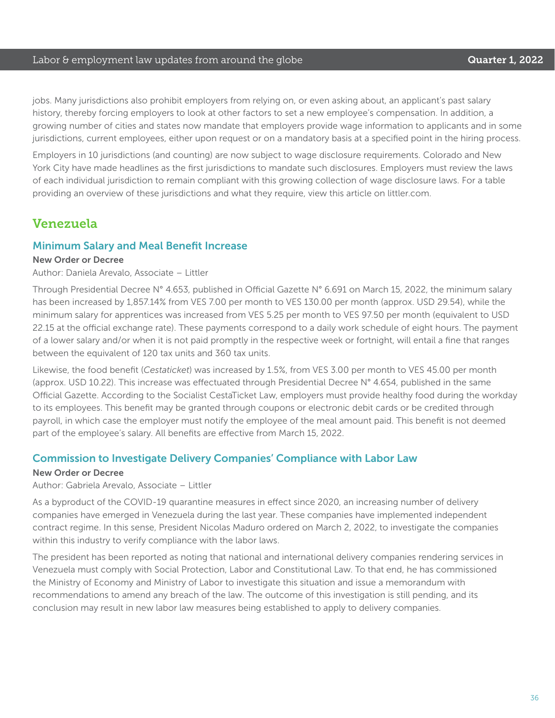#### Labor & employment law updates from around the globe **Cause Container 1, 2022**

jobs. Many jurisdictions also prohibit employers from relying on, or even asking about, an applicant's past salary history, thereby forcing employers to look at other factors to set a new employee's compensation. In addition, a growing number of cities and states now mandate that employers provide wage information to applicants and in some jurisdictions, current employees, either upon request or on a mandatory basis at a specified point in the hiring process.

Employers in 10 jurisdictions (and counting) are now subject to wage disclosure requirements. Colorado and New York City have made headlines as the first jurisdictions to mandate such disclosures. Employers must review the laws of each individual jurisdiction to remain compliant with this growing collection of wage disclosure laws. For a table providing an overview of these jurisdictions and what they require, view this article on littler.com.

### Venezuela

#### Minimum Salary and Meal Benefit Increase

#### New Order or Decree

Author: Daniela Arevalo, Associate – Littler

Through Presidential Decree N° 4.653, published in Official Gazette N° 6.691 on March 15, 2022, the minimum salary has been increased by 1,857.14% from VES 7.00 per month to VES 130.00 per month (approx. USD 29.54), while the minimum salary for apprentices was increased from VES 5.25 per month to VES 97.50 per month (equivalent to USD 22.15 at the official exchange rate). These payments correspond to a daily work schedule of eight hours. The payment of a lower salary and/or when it is not paid promptly in the respective week or fortnight, will entail a fine that ranges between the equivalent of 120 tax units and 360 tax units.

Likewise, the food benefit (*Cestaticket*) was increased by 1.5%, from VES 3.00 per month to VES 45.00 per month (approx. USD 10.22). This increase was effectuated through Presidential Decree N° 4.654, published in the same Official Gazette. According to the Socialist CestaTicket Law, employers must provide healthy food during the workday to its employees. This benefit may be granted through coupons or electronic debit cards or be credited through payroll, in which case the employer must notify the employee of the meal amount paid. This benefit is not deemed part of the employee's salary. All benefits are effective from March 15, 2022.

#### Commission to Investigate Delivery Companies' Compliance with Labor Law

#### New Order or Decree

Author: Gabriela Arevalo, Associate – Littler

As a byproduct of the COVID-19 quarantine measures in effect since 2020, an increasing number of delivery companies have emerged in Venezuela during the last year. These companies have implemented independent contract regime. In this sense, President Nicolas Maduro ordered on March 2, 2022, to investigate the companies within this industry to verify compliance with the labor laws.

The president has been reported as noting that national and international delivery companies rendering services in Venezuela must comply with Social Protection, Labor and Constitutional Law. To that end, he has commissioned the Ministry of Economy and Ministry of Labor to investigate this situation and issue a memorandum with recommendations to amend any breach of the law. The outcome of this investigation is still pending, and its conclusion may result in new labor law measures being established to apply to delivery companies.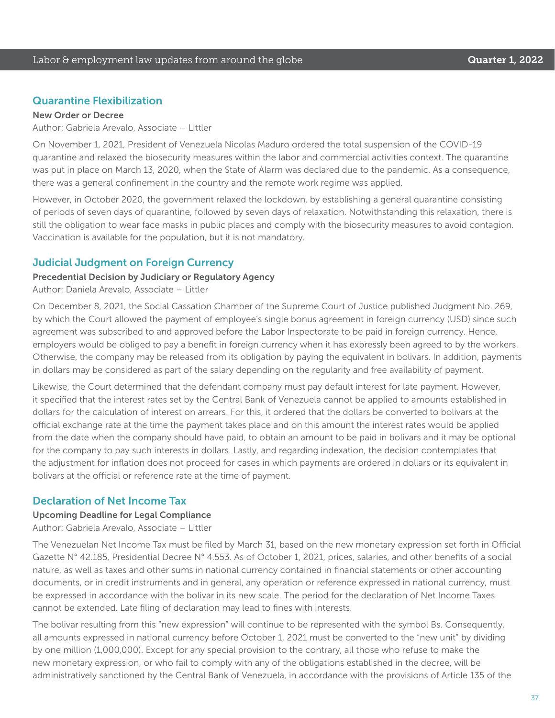#### Quarantine Flexibilization

#### New Order or Decree

Author: Gabriela Arevalo, Associate – Littler

On November 1, 2021, President of Venezuela Nicolas Maduro ordered the total suspension of the COVID-19 quarantine and relaxed the biosecurity measures within the labor and commercial activities context. The quarantine was put in place on March 13, 2020, when the State of Alarm was declared due to the pandemic. As a consequence, there was a general confinement in the country and the remote work regime was applied.

However, in October 2020, the government relaxed the lockdown, by establishing a general quarantine consisting of periods of seven days of quarantine, followed by seven days of relaxation. Notwithstanding this relaxation, there is still the obligation to wear face masks in public places and comply with the biosecurity measures to avoid contagion. Vaccination is available for the population, but it is not mandatory.

#### Judicial Judgment on Foreign Currency

#### Precedential Decision by Judiciary or Regulatory Agency

Author: Daniela Arevalo, Associate – Littler

On December 8, 2021, the Social Cassation Chamber of the Supreme Court of Justice published Judgment No. 269, by which the Court allowed the payment of employee's single bonus agreement in foreign currency (USD) since such agreement was subscribed to and approved before the Labor Inspectorate to be paid in foreign currency. Hence, employers would be obliged to pay a benefit in foreign currency when it has expressly been agreed to by the workers. Otherwise, the company may be released from its obligation by paying the equivalent in bolivars. In addition, payments in dollars may be considered as part of the salary depending on the regularity and free availability of payment.

Likewise, the Court determined that the defendant company must pay default interest for late payment. However, it specified that the interest rates set by the Central Bank of Venezuela cannot be applied to amounts established in dollars for the calculation of interest on arrears. For this, it ordered that the dollars be converted to bolivars at the official exchange rate at the time the payment takes place and on this amount the interest rates would be applied from the date when the company should have paid, to obtain an amount to be paid in bolivars and it may be optional for the company to pay such interests in dollars. Lastly, and regarding indexation, the decision contemplates that the adjustment for inflation does not proceed for cases in which payments are ordered in dollars or its equivalent in bolivars at the official or reference rate at the time of payment.

#### Declaration of Net Income Tax

#### Upcoming Deadline for Legal Compliance

Author: Gabriela Arevalo, Associate – Littler

The Venezuelan Net Income Tax must be filed by March 31, based on the new monetary expression set forth in Official Gazette N° 42.185, Presidential Decree N° 4.553. As of October 1, 2021, prices, salaries, and other benefits of a social nature, as well as taxes and other sums in national currency contained in financial statements or other accounting documents, or in credit instruments and in general, any operation or reference expressed in national currency, must be expressed in accordance with the bolivar in its new scale. The period for the declaration of Net Income Taxes cannot be extended. Late filing of declaration may lead to fines with interests.

The bolivar resulting from this "new expression" will continue to be represented with the symbol Bs. Consequently, all amounts expressed in national currency before October 1, 2021 must be converted to the "new unit" by dividing by one million (1,000,000). Except for any special provision to the contrary, all those who refuse to make the new monetary expression, or who fail to comply with any of the obligations established in the decree, will be administratively sanctioned by the Central Bank of Venezuela, in accordance with the provisions of Article 135 of the